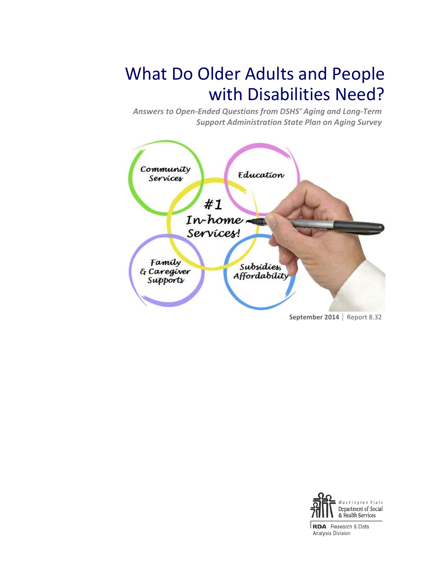# What Do Older Adults and People with Disabilities Need?

*Answers to Open-Ended Questions from DSHS' Aging and Long-Term Support Administration State Plan on Aging Survey*





**RDA** Research & Data Analysis Division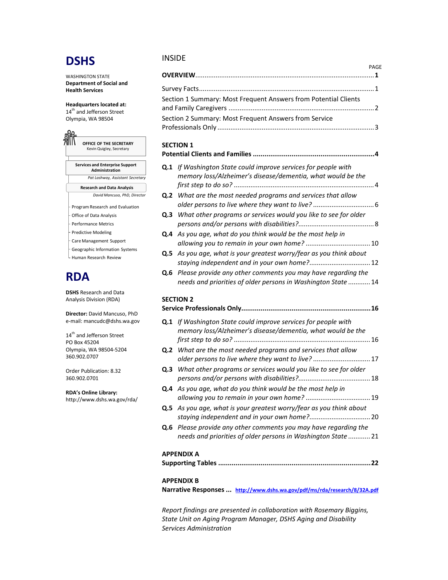# **DSHS**

WASHINGTON STATE **Department of Social and Health Services**

**Headquarters located at:** 14<sup>th</sup> and Jefferson Street Olympia, WA 98504



- Geographic Information Systems
- L Human Research Review

# **RDA**

**DSHS** Research and Data Analysis Division (RDA)

**Director:** David Mancuso, PhD e-mail: mancudc@dshs.wa.gov

14<sup>th</sup> and Jefferson Street PO Box 45204 Olympia, WA 98504-5204 360.902.0707

Order Publication: 8.32 360.902.0701

**RDA's Online Library:**

#### <http://www.dshs.wa.gov/rda/>

#### INSIDE

|                                                                 | PAGF |
|-----------------------------------------------------------------|------|
|                                                                 |      |
| Section 1 Summary: Most Frequent Answers from Potential Clients |      |
| Section 2 Summary: Most Frequent Answers from Service           |      |

### **SECTION 1**

| Q.1 If Washington State could improve services for people with<br>memory loss/Alzheimer's disease/dementia, what would be the            |  |
|------------------------------------------------------------------------------------------------------------------------------------------|--|
| <b>Q.2</b> What are the most needed programs and services that allow                                                                     |  |
| <b>Q.3</b> What other programs or services would you like to see for older                                                               |  |
| Q.4 As you age, what do you think would be the most help in                                                                              |  |
| Q.5 As you age, what is your greatest worry/fear as you think about                                                                      |  |
| <b>Q.6</b> Please provide any other comments you may have regarding the<br>needs and priorities of older persons in Washington State  14 |  |

#### **SECTION 2**

| <b>Q.1</b> If Washington State could improve services for people with<br>memory loss/Alzheimer's disease/dementia, what would be the |     |
|--------------------------------------------------------------------------------------------------------------------------------------|-----|
| <b>Q.2</b> What are the most needed programs and services that allow<br>older persons to live where they want to live?  17           |     |
| Q.3 What other programs or services would you like to see for older                                                                  |     |
| <b>Q.4</b> As you age, what do you think would be the most help in                                                                   |     |
| Q.5 As you age, what is your greatest worry/fear as you think about                                                                  |     |
| Q.6 Please provide any other comments you may have regarding the<br>needs and priorities of older persons in Washington State  21    |     |
| APPENDIX A                                                                                                                           | .22 |
|                                                                                                                                      |     |

#### **APPENDIX B**

**Narrative Responses ... <http://www.dshs.wa.gov/pdf/ms/rda/research/8/32A.pdf>**

*Report findings are presented in collaboration with Rosemary Biggins, State Unit on Aging Program Manager, DSHS Aging and Disability Services Administration*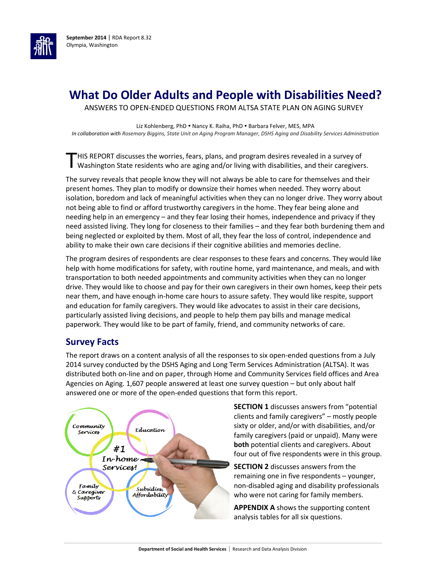

# **What Do Older Adults and People with Disabilities Need?**

ANSWERS TO OPEN-ENDED QUESTIONS FROM ALTSA STATE PLAN ON AGING SURVEY

Liz Kohlenberg, PhD . Nancy K. Raiha, PhD . Barbara Felver, MES, MPA *In collaboration with Rosemary Biggins, State Unit on Aging Program Manager, DSHS Aging and Disability Services Administration*

HIS REPORT discusses the worries, fears, plans, and program desires revealed in a survey of THIS REPORT discusses the worries, fears, plans, and program desires revealed in a survey of Washington State residents who are aging and/or living with disabilities, and their caregivers.

The survey reveals that people know they will not always be able to care for themselves and their present homes. They plan to modify or downsize their homes when needed. They worry about isolation, boredom and lack of meaningful activities when they can no longer drive. They worry about not being able to find or afford trustworthy caregivers in the home. They fear being alone and needing help in an emergency – and they fear losing their homes, independence and privacy if they need assisted living. They long for closeness to their families – and they fear both burdening them and being neglected or exploited by them. Most of all, they fear the loss of control, independence and ability to make their own care decisions if their cognitive abilities and memories decline.

The program desires of respondents are clear responses to these fears and concerns. They would like help with home modifications for safety, with routine home, yard maintenance, and meals, and with transportation to both needed appointments and community activities when they can no longer drive. They would like to choose and pay for their own caregivers in their own homes, keep their pets near them, and have enough in-home care hours to assure safety. They would like respite, support and education for family caregivers. They would like advocates to assist in their care decisions, particularly assisted living decisions, and people to help them pay bills and manage medical paperwork. They would like to be part of family, friend, and community networks of care.

### **Survey Facts**

The report draws on a content analysis of all the responses to six open-ended questions from a July 2014 survey conducted by the DSHS Aging and Long Term Services Administration (ALTSA). It was distributed both on-line and on paper, through Home and Community Services field offices and Area Agencies on Aging. 1,607 people answered at least one survey question – but only about half answered one or more of the open-ended questions that form this report.



**SECTION 1** discusses answers from "potential clients and family caregivers" – mostly people sixty or older, and/or with disabilities, and/or family caregivers (paid or unpaid). Many were **both** potential clients and caregivers. About four out of five respondents were in this group.

**SECTION 2** discusses answers from the remaining one in five respondents – younger, non-disabled aging and disability professionals who were not caring for family members.

**APPENDIX A** shows the supporting content analysis tables for all six questions.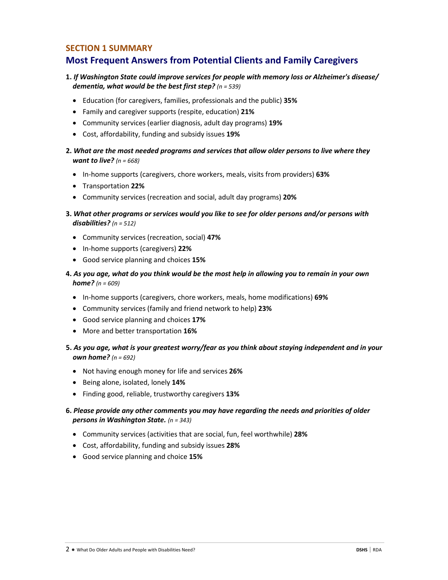### **SECTION 1 SUMMARY**

### **Most Frequent Answers from Potential Clients and Family Caregivers**

### **1.** *If Washington State could improve services for people with memory loss or Alzheimer's disease/ dementia, what would be the best first step? (n = 539)*

- Education (for caregivers, families, professionals and the public) **35%**
- Family and caregiver supports (respite, education) **21%**
- Community services (earlier diagnosis, adult day programs) **19%**
- Cost, affordability, funding and subsidy issues **19%**
- **2.** *What are the most needed programs and services that allow older persons to live where they want to live? (n = 668)*
	- In-home supports (caregivers, chore workers, meals, visits from providers) **63%**
	- Transportation **22%**
	- Community services (recreation and social, adult day programs) **20%**
- **3.** *What other programs or services would you like to see for older persons and/or persons with disabilities? (n = 512)*
	- Community services (recreation, social) **47%**
	- In-home supports (caregivers) **22%**
	- Good service planning and choices **15%**
- **4.** *As you age, what do you think would be the most help in allowing you to remain in your own home? (n = 609)*
	- In-home supports (caregivers, chore workers, meals, home modifications) **69%**
	- Community services (family and friend network to help) **23%**
	- Good service planning and choices **17%**
	- More and better transportation **16%**
- **5.** *As you age, what is your greatest worry/fear as you think about staying independent and in your own home? (n = 692)*
	- Not having enough money for life and services **26%**
	- Being alone, isolated, lonely **14%**
	- Finding good, reliable, trustworthy caregivers **13%**
- **6.** *Please provide any other comments you may have regarding the needs and priorities of older persons in Washington State. (n = 343)*
	- Community services (activities that are social, fun, feel worthwhile) **28%**
	- Cost, affordability, funding and subsidy issues **28%**
	- Good service planning and choice **15%**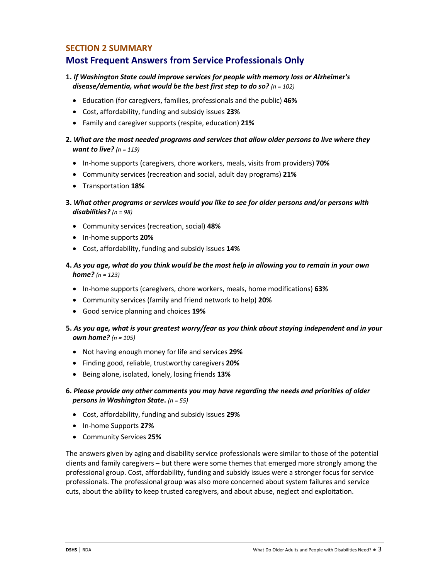### **SECTION 2 SUMMARY**

### **Most Frequent Answers from Service Professionals Only**

### **1.** *If Washington State could improve services for people with memory loss or Alzheimer's disease/dementia, what would be the best first step to do so? (n = 102)*

- Education (for caregivers, families, professionals and the public) **46%**
- Cost, affordability, funding and subsidy issues **23%**
- Family and caregiver supports (respite, education) **21%**
- **2.** *What are the most needed programs and services that allow older persons to live where they want to live? (n = 119)*
	- In-home supports (caregivers, chore workers, meals, visits from providers) **70%**
	- Community services (recreation and social, adult day programs) **21%**
	- Transportation **18%**
- **3.** *What other programs or services would you like to see for older persons and/or persons with disabilities? (n = 98)*
	- Community services (recreation, social) **48%**
	- In-home supports **20%**
	- Cost, affordability, funding and subsidy issues **14%**
- **4.** *As you age, what do you think would be the most help in allowing you to remain in your own home? (n = 123)*
	- In-home supports (caregivers, chore workers, meals, home modifications) **63%**
	- Community services (family and friend network to help) **20%**
	- Good service planning and choices **19%**
- **5.** *As you age, what is your greatest worry/fear as you think about staying independent and in your own home? (n = 105)*
	- Not having enough money for life and services **29%**
	- Finding good, reliable, trustworthy caregivers **20%**
	- Being alone, isolated, lonely, losing friends **13%**
- **6.** *Please provide any other comments you may have regarding the needs and priorities of older persons in Washington State***.** *(n = 55)*
	- Cost, affordability, funding and subsidy issues **29%**
	- In-home Supports **27%**
	- Community Services **25%**

The answers given by aging and disability service professionals were similar to those of the potential clients and family caregivers – but there were some themes that emerged more strongly among the professional group. Cost, affordability, funding and subsidy issues were a stronger focus for service professionals. The professional group was also more concerned about system failures and service cuts, about the ability to keep trusted caregivers, and about abuse, neglect and exploitation.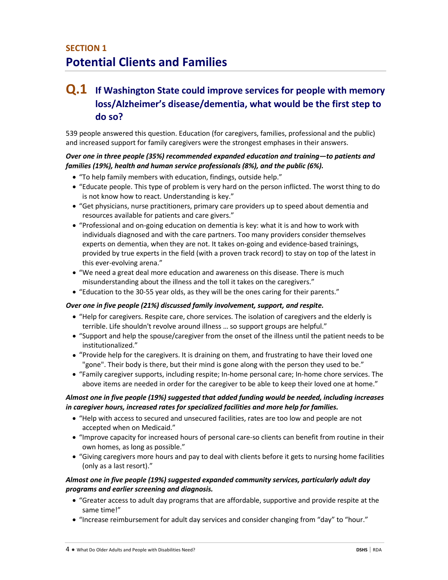# **SECTION 1 Potential Clients and Families**

# **Q.1 If Washington State could improve services for people with memory loss/Alzheimer's disease/dementia, what would be the first step to do so?**

539 people answered this question. Education (for caregivers, families, professional and the public) and increased support for family caregivers were the strongest emphases in their answers.

#### *Over one in three people (35%) recommended expanded education and training—to patients and families (19%), health and human service professionals (8%), and the public (6%).*

- "To help family members with education, findings, outside help."
- "Educate people. This type of problem is very hard on the person inflicted. The worst thing to do is not know how to react. Understanding is key."
- "Get physicians, nurse practitioners, primary care providers up to speed about dementia and resources available for patients and care givers."
- "Professional and on-going education on dementia is key: what it is and how to work with individuals diagnosed and with the care partners. Too many providers consider themselves experts on dementia, when they are not. It takes on-going and evidence-based trainings, provided by true experts in the field (with a proven track record) to stay on top of the latest in this ever-evolving arena."
- "We need a great deal more education and awareness on this disease. There is much misunderstanding about the illness and the toll it takes on the caregivers."
- "Education to the 30-55 year olds, as they will be the ones caring for their parents."

#### *Over one in five people (21%) discussed family involvement, support, and respite.*

- "Help for caregivers. Respite care, chore services. The isolation of caregivers and the elderly is terrible. Life shouldn't revolve around illness … so support groups are helpful."
- "Support and help the spouse/caregiver from the onset of the illness until the patient needs to be institutionalized."
- "Provide help for the caregivers. It is draining on them, and frustrating to have their loved one "gone". Their body is there, but their mind is gone along with the person they used to be."
- "Family caregiver supports, including respite; In-home personal care; In-home chore services. The above items are needed in order for the caregiver to be able to keep their loved one at home."

### *Almost one in five people (19%) suggested that added funding would be needed, including increases in caregiver hours, increased rates for specialized facilities and more help for families.*

- "Help with access to secured and unsecured facilities, rates are too low and people are not accepted when on Medicaid."
- "Improve capacity for increased hours of personal care-so clients can benefit from routine in their own homes, as long as possible."
- "Giving caregivers more hours and pay to deal with clients before it gets to nursing home facilities (only as a last resort)."

#### *Almost one in five people (19%) suggested expanded community services, particularly adult day programs and earlier screening and diagnosis.*

- "Greater access to adult day programs that are affordable, supportive and provide respite at the same time!"
- "Increase reimbursement for adult day services and consider changing from "day" to "hour."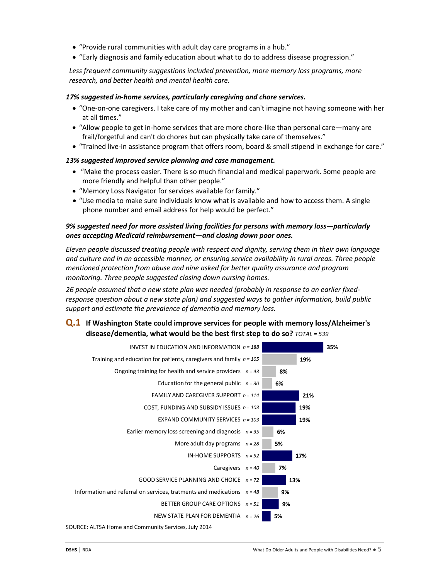- "Provide rural communities with adult day care programs in a hub."
- "Early diagnosis and family education about what to do to address disease progression."

*Less frequent community suggestions included prevention, more memory loss programs, more research, and better health and mental health care.*

#### *17% suggested in-home services, particularly caregiving and chore services.*

- "One-on-one caregivers. I take care of my mother and can't imagine not having someone with her at all times."
- "Allow people to get in-home services that are more chore-like than personal care—many are frail/forgetful and can't do chores but can physically take care of themselves."
- "Trained live-in assistance program that offers room, board & small stipend in exchange for care."

#### *13% suggested improved service planning and case management.*

- "Make the process easier. There is so much financial and medical paperwork. Some people are more friendly and helpful than other people."
- "Memory Loss Navigator for services available for family."
- "Use media to make sure individuals know what is available and how to access them. A single phone number and email address for help would be perfect."

#### *9% suggested need for more assisted living facilities for persons with memory loss—particularly ones accepting Medicaid reimbursement—and closing down poor ones.*

*Eleven people discussed treating people with respect and dignity, serving them in their own language and culture and in an accessible manner, or ensuring service availability in rural areas. Three people mentioned protection from abuse and nine asked for better quality assurance and program monitoring. Three people suggested closing down nursing homes.*

*26 people assumed that a new state plan was needed (probably in response to an earlier fixedresponse question about a new state plan) and suggested ways to gather information, build public support and estimate the prevalence of dementia and memory loss.*

### **Q.1 If Washington State could improve services for people with memory loss/Alzheimer's disease/dementia, what would be the best first step to do so?** *TOTAL = 539*

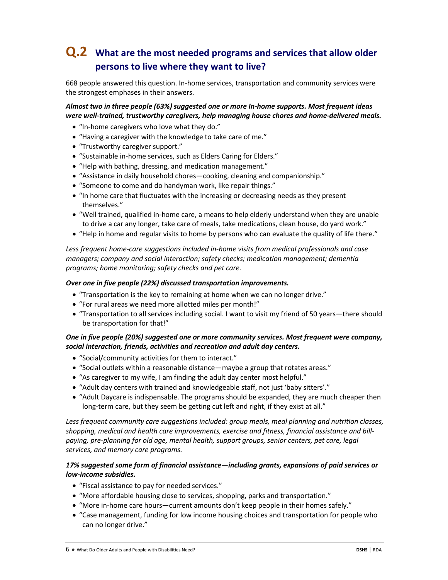# **Q.2 What are the most needed programs and services that allow older persons to live where they want to live?**

668 people answered this question. In-home services, transportation and community services were the strongest emphases in their answers.

#### *Almost two in three people (63%) suggested one or more In-home supports. Most frequent ideas were well-trained, trustworthy caregivers, help managing house chores and home-delivered meals.*

- "In-home caregivers who love what they do."
- "Having a caregiver with the knowledge to take care of me."
- "Trustworthy caregiver support."
- "Sustainable in-home services, such as Elders Caring for Elders."
- "Help with bathing, dressing, and medication management."
- "Assistance in daily household chores—cooking, cleaning and companionship."
- "Someone to come and do handyman work, like repair things."
- "In home care that fluctuates with the increasing or decreasing needs as they present themselves."
- "Well trained, qualified in-home care, a means to help elderly understand when they are unable to drive a car any longer, take care of meals, take medications, clean house, do yard work."
- "Help in home and regular visits to home by persons who can evaluate the quality of life there."

*Less frequent home-care suggestions included in-home visits from medical professionals and case managers; company and social interaction; safety checks; medication management; dementia programs; home monitoring; safety checks and pet care.*

#### *Over one in five people (22%) discussed transportation improvements.*

- "Transportation is the key to remaining at home when we can no longer drive."
- "For rural areas we need more allotted miles per month!"
- "Transportation to all services including social. I want to visit my friend of 50 years—there should be transportation for that!"

### *One in five people (20%) suggested one or more community services. Most frequent were company, social interaction, friends, activities and recreation and adult day centers.*

- "Social/community activities for them to interact."
- "Social outlets within a reasonable distance—maybe a group that rotates areas."
- "As caregiver to my wife, I am finding the adult day center most helpful."
- "Adult day centers with trained and knowledgeable staff, not just 'baby sitters'."
- "Adult Daycare is indispensable. The programs should be expanded, they are much cheaper then long-term care, but they seem be getting cut left and right, if they exist at all."

*Less frequent community care suggestions included: group meals, meal planning and nutrition classes, shopping, medical and health care improvements, exercise and fitness, financial assistance and billpaying, pre-planning for old age, mental health, support groups, senior centers, pet care, legal services, and memory care programs.*

#### *17% suggested some form of financial assistance—including grants, expansions of paid services or low-income subsidies.*

- "Fiscal assistance to pay for needed services."
- "More affordable housing close to services, shopping, parks and transportation."
- "More in-home care hours—current amounts don't keep people in their homes safely."
- "Case management, funding for low income housing choices and transportation for people who can no longer drive."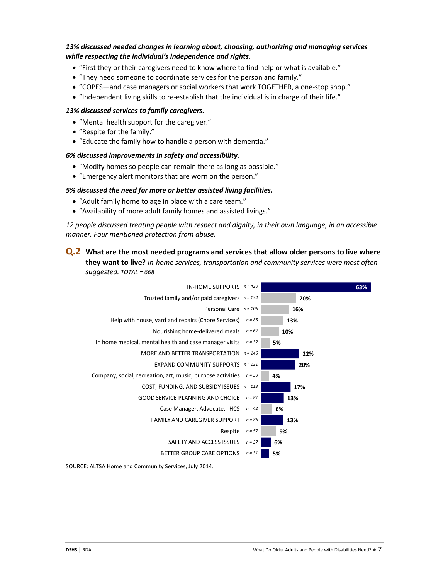#### *13% discussed needed changes in learning about, choosing, authorizing and managing services while respecting the individual's independence and rights.*

- "First they or their caregivers need to know where to find help or what is available."
- "They need someone to coordinate services for the person and family."
- "COPES—and case managers or social workers that work TOGETHER, a one-stop shop."
- "Independent living skills to re-establish that the individual is in charge of their life."

#### *13% discussed services to family caregivers.*

- "Mental health support for the caregiver."
- "Respite for the family."
- "Educate the family how to handle a person with dementia."

#### *6% discussed improvements in safety and accessibility.*

- "Modify homes so people can remain there as long as possible."
- "Emergency alert monitors that are worn on the person."

#### *5% discussed the need for more or better assisted living facilities.*

- "Adult family home to age in place with a care team."
- "Availability of more adult family homes and assisted livings."

*12 people discussed treating people with respect and dignity, in their own language, in an accessible manner. Four mentioned protection from abuse.*

### **Q.2 What are the most needed programs and services that allow older persons to live where they want to live?** *In-home services, transportation and community services were most often suggested. TOTAL = 668*

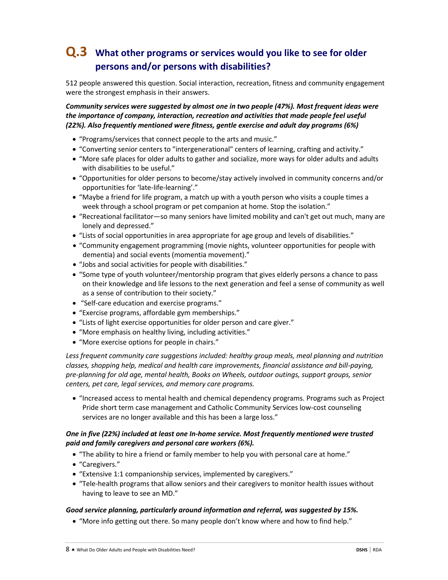# **Q.3 What other programs or services would you like to see for older persons and/or persons with disabilities?**

512 people answered this question. Social interaction, recreation, fitness and community engagement were the strongest emphasis in their answers.

*Community services were suggested by almost one in two people (47%). Most frequent ideas were the importance of company, interaction, recreation and activities that made people feel useful (22%). Also frequently mentioned were fitness, gentle exercise and adult day programs (6%)*

- "Programs/services that connect people to the arts and music."
- "Converting senior centers to "intergenerational" centers of learning, crafting and activity."
- "More safe places for older adults to gather and socialize, more ways for older adults and adults with disabilities to be useful."
- "Opportunities for older persons to become/stay actively involved in community concerns and/or opportunities for 'late-life-learning'."
- "Maybe a friend for life program, a match up with a youth person who visits a couple times a week through a school program or pet companion at home. Stop the isolation."
- "Recreational facilitator—so many seniors have limited mobility and can't get out much, many are lonely and depressed."
- "Lists of social opportunities in area appropriate for age group and levels of disabilities."
- "Community engagement programming (movie nights, volunteer opportunities for people with dementia) and social events (momentia movement)."
- "Jobs and social activities for people with disabilities."
- "Some type of youth volunteer/mentorship program that gives elderly persons a chance to pass on their knowledge and life lessons to the next generation and feel a sense of community as well as a sense of contribution to their society."
- "Self-care education and exercise programs."
- "Exercise programs, affordable gym memberships."
- "Lists of light exercise opportunities for older person and care giver."
- "More emphasis on healthy living, including activities."
- "More exercise options for people in chairs."

Less frequent community care suggestions included: healthy group meals, meal planning and nutrition *classes, shopping help, medical and health care improvements, financial assistance and bill-paying, pre-planning for old age, mental health, Books on Wheels, outdoor outings, support groups, senior centers, pet care, legal services, and memory care programs.*

• "Increased access to mental health and chemical dependency programs. Programs such as Project Pride short term case management and Catholic Community Services low-cost counseling services are no longer available and this has been a large loss."

#### *One in five (22%) included at least one In-home service. Most frequently mentioned were trusted paid and family caregivers and personal care workers (6%).*

- "The ability to hire a friend or family member to help you with personal care at home."
- "Caregivers."
- "Extensive 1:1 companionship services, implemented by caregivers."
- "Tele-health programs that allow seniors and their caregivers to monitor health issues without having to leave to see an MD."

#### *Good service planning, particularly around information and referral, was suggested by 15%.*

• "More info getting out there. So many people don't know where and how to find help."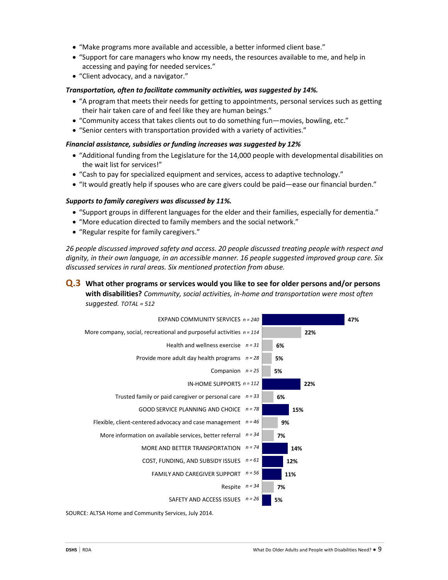- "Make programs more available and accessible, a better informed client base."
- "Support for care managers who know my needs, the resources available to me, and help in accessing and paying for needed services."
- "Client advocacy, and a navigator."

#### *Transportation, often to facilitate community activities, was suggested by 14%.*

- "A program that meets their needs for getting to appointments, personal services such as getting their hair taken care of and feel like they are human beings."
- "Community access that takes clients out to do something fun—movies, bowling, etc."
- "Senior centers with transportation provided with a variety of activities."

#### *Financial assistance, subsidies or funding increases was suggested by 12%*

- "Additional funding from the Legislature for the 14,000 people with developmental disabilities on the wait list for services!"
- "Cash to pay for specialized equipment and services, access to adaptive technology."
- "It would greatly help if spouses who are care givers could be paid—ease our financial burden."

#### *Supports to family caregivers was discussed by 11%.*

- "Support groups in different languages for the elder and their families, especially for dementia."
- "More education directed to family members and the social network."
- "Regular respite for family caregivers."

*26 people discussed improved safety and access. 20 people discussed treating people with respect and dignity, in their own language, in an accessible manner. 16 people suggested improved group care. Six discussed services in rural areas. Six mentioned protection from abuse.*

### **Q.3 What other programs or services would you like to see for older persons and/or persons with disabilities?** *Community, social activities, in-home and transportation were most often suggested. TOTAL = 512*

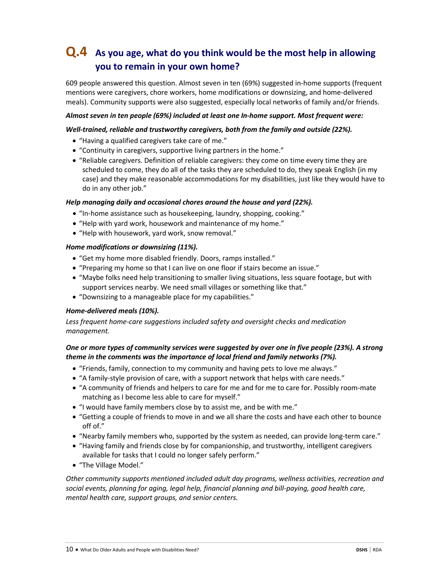# **Q.4 As you age, what do you think would be the most help in allowing you to remain in your own home?**

609 people answered this question. Almost seven in ten (69%) suggested in-home supports (frequent mentions were caregivers, chore workers, home modifications or downsizing, and home-delivered meals). Community supports were also suggested, especially local networks of family and/or friends.

#### *Almost seven in ten people (69%) included at least one In-home support. Most frequent were:*

#### *Well-trained, reliable and trustworthy caregivers, both from the family and outside (22%).*

- "Having a qualified caregivers take care of me."
- "Continuity in caregivers, supportive living partners in the home."
- "Reliable caregivers. Definition of reliable caregivers: they come on time every time they are scheduled to come, they do all of the tasks they are scheduled to do, they speak English (in my case) and they make reasonable accommodations for my disabilities, just like they would have to do in any other job."

#### *Help managing daily and occasional chores around the house and yard (22%).*

- "In-home assistance such as housekeeping, laundry, shopping, cooking."
- "Help with yard work, housework and maintenance of my home."
- "Help with housework, yard work, snow removal."

#### *Home modifications or downsizing (11%).*

- "Get my home more disabled friendly. Doors, ramps installed."
- "Preparing my home so that I can live on one floor if stairs become an issue."
- "Maybe folks need help transitioning to smaller living situations, less square footage, but with support services nearby. We need small villages or something like that."
- "Downsizing to a manageable place for my capabilities."

#### *Home-delivered meals (10%).*

*Less frequent home-care suggestions included safety and oversight checks and medication management.* 

#### *One or more types of community services were suggested by over one in five people (23%). A strong theme in the comments was the importance of local friend and family networks (7%).*

- "Friends, family, connection to my community and having pets to love me always."
- "A family-style provision of care, with a support network that helps with care needs."
- "A community of friends and helpers to care for me and for me to care for. Possibly room-mate matching as I become less able to care for myself."
- "I would have family members close by to assist me, and be with me."
- "Getting a couple of friends to move in and we all share the costs and have each other to bounce off of."
- "Nearby family members who, supported by the system as needed, can provide long-term care."
- "Having family and friends close by for companionship, and trustworthy, intelligent caregivers available for tasks that I could no longer safely perform."
- "The Village Model."

*Other community supports mentioned included adult day programs, wellness activities, recreation and social events, planning for aging, legal help, financial planning and bill-paying, good health care, mental health care, support groups, and senior centers.*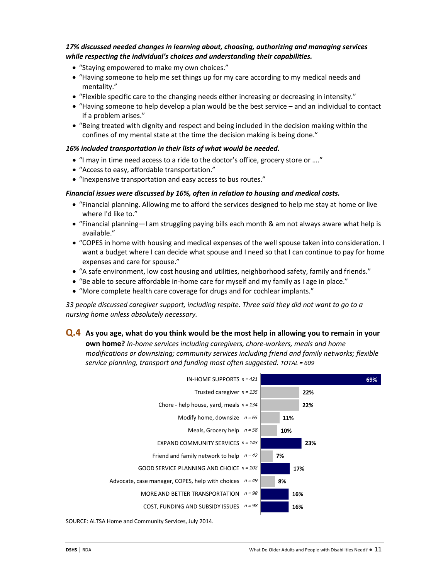#### *17% discussed needed changes in learning about, choosing, authorizing and managing services while respecting the individual's choices and understanding their capabilities.*

- "Staying empowered to make my own choices."
- "Having someone to help me set things up for my care according to my medical needs and mentality."
- "Flexible specific care to the changing needs either increasing or decreasing in intensity."
- "Having someone to help develop a plan would be the best service and an individual to contact if a problem arises."
- "Being treated with dignity and respect and being included in the decision making within the confines of my mental state at the time the decision making is being done."

#### *16% included transportation in their lists of what would be needed.*

- "I may in time need access to a ride to the doctor's office, grocery store or ...."
- "Access to easy, affordable transportation."
- "Inexpensive transportation and easy access to bus routes."

#### *Financial issues were discussed by 16%, often in relation to housing and medical costs.*

- "Financial planning. Allowing me to afford the services designed to help me stay at home or live where I'd like to."
- "Financial planning—I am struggling paying bills each month & am not always aware what help is available."
- "COPES in home with housing and medical expenses of the well spouse taken into consideration. I want a budget where I can decide what spouse and I need so that I can continue to pay for home expenses and care for spouse."
- "A safe environment, low cost housing and utilities, neighborhood safety, family and friends."
- "Be able to secure affordable in-home care for myself and my family as I age in place."
- "More complete health care coverage for drugs and for cochlear implants."

*33 people discussed caregiver support, including respite. Three said they did not want to go to a nursing home unless absolutely necessary.*

### **Q.4 As you age, what do you think would be the most help in allowing you to remain in your**

**own home?** *In-home services including caregivers, chore-workers, meals and home modifications or downsizing; community services including friend and family networks; flexible service planning, transport and funding most often suggested. TOTAL = 609*

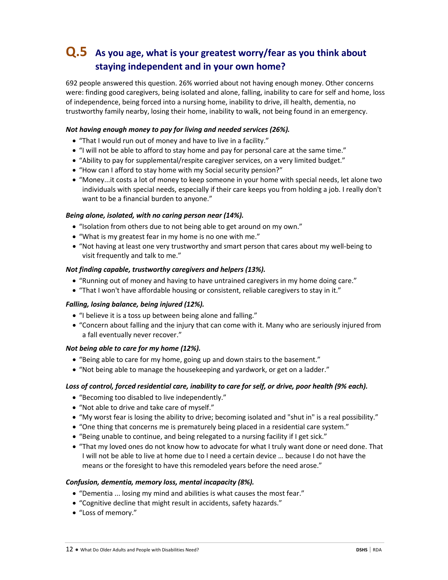# **Q.5 As you age, what is your greatest worry/fear as you think about staying independent and in your own home?**

692 people answered this question. 26% worried about not having enough money. Other concerns were: finding good caregivers, being isolated and alone, falling, inability to care for self and home, loss of independence, being forced into a nursing home, inability to drive, ill health, dementia, no trustworthy family nearby, losing their home, inability to walk, not being found in an emergency.

#### *Not having enough money to pay for living and needed services (26%).*

- "That I would run out of money and have to live in a facility."
- "I will not be able to afford to stay home and pay for personal care at the same time."
- "Ability to pay for supplemental/respite caregiver services, on a very limited budget."
- "How can I afford to stay home with my Social security pension?"
- "Money...it costs a lot of money to keep someone in your home with special needs, let alone two individuals with special needs, especially if their care keeps you from holding a job. I really don't want to be a financial burden to anyone."

#### *Being alone, isolated, with no caring person near (14%).*

- "Isolation from others due to not being able to get around on my own."
- "What is my greatest fear in my home is no one with me."
- "Not having at least one very trustworthy and smart person that cares about my well-being to visit frequently and talk to me."

#### *Not finding capable, trustworthy caregivers and helpers (13%).*

- "Running out of money and having to have untrained caregivers in my home doing care."
- "That I won't have affordable housing or consistent, reliable caregivers to stay in it."

#### *Falling, losing balance, being injured (12%).*

- "I believe it is a toss up between being alone and falling."
- "Concern about falling and the injury that can come with it. Many who are seriously injured from a fall eventually never recover."

#### *Not being able to care for my home (12%).*

- "Being able to care for my home, going up and down stairs to the basement."
- "Not being able to manage the housekeeping and yardwork, or get on a ladder."

#### Loss of control, forced residential care, inability to care for self, or drive, poor health (9% each).

- "Becoming too disabled to live independently."
- "Not able to drive and take care of myself."
- "My worst fear is losing the ability to drive; becoming isolated and "shut in" is a real possibility."
- "One thing that concerns me is prematurely being placed in a residential care system."
- "Being unable to continue, and being relegated to a nursing facility if I get sick."
- "That my loved ones do not know how to advocate for what I truly want done or need done. That I will not be able to live at home due to I need a certain device … because I do not have the means or the foresight to have this remodeled years before the need arose."

#### *Confusion, dementia, memory loss, mental incapacity (8%).*

- "Dementia ... losing my mind and abilities is what causes the most fear."
- "Cognitive decline that might result in accidents, safety hazards."
- "Loss of memory."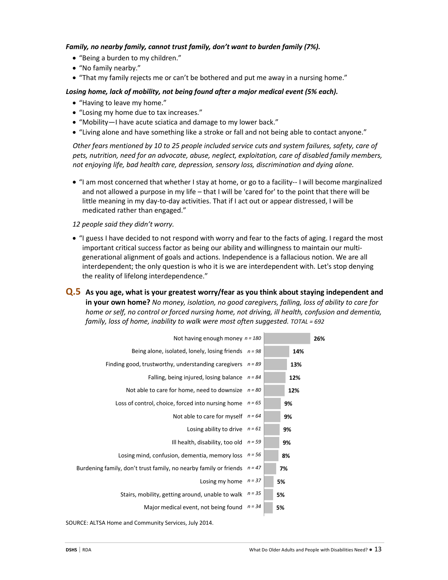#### *Family, no nearby family, cannot trust family, don't want to burden family (7%).*

- "Being a burden to my children."
- "No family nearby."
- "That my family rejects me or can't be bothered and put me away in a nursing home."

#### *Losing home, lack of mobility, not being found after a major medical event (5% each).*

- "Having to leave my home."
- "Losing my home due to tax increases."
- "Mobility—I have acute sciatica and damage to my lower back."
- "Living alone and have something like a stroke or fall and not being able to contact anyone."

*Other fears mentioned by 10 to 25 people included service cuts and system failures, safety, care of pets, nutrition, need for an advocate, abuse, neglect, exploitation, care of disabled family members, not enjoying life, bad health care, depression, sensory loss, discrimination and dying alone.*

• "I am most concerned that whether I stay at home, or go to a facility-- I will become marginalized and not allowed a purpose in my life – that I will be 'cared for' to the point that there will be little meaning in my day-to-day activities. That if I act out or appear distressed, I will be medicated rather than engaged."

*12 people said they didn't worry.*

- "I guess I have decided to not respond with worry and fear to the facts of aging. I regard the most important critical success factor as being our ability and willingness to maintain our multigenerational alignment of goals and actions. Independence is a fallacious notion. We are all interdependent; the only question is who it is we are interdependent with. Let's stop denying the reality of lifelong interdependence."
- **Q.5 As you age, what is your greatest worry/fear as you think about staying independent and in your own home?** *No money, isolation, no good caregivers, falling, loss of ability to care for home or self, no control or forced nursing home, not driving, ill health, confusion and dementia, family, loss of home, inability to walk were most often suggested. TOTAL = 692*

| 26% |     |    |          | Not having enough money $n = 180$                                 |
|-----|-----|----|----------|-------------------------------------------------------------------|
|     | 14% |    |          | Being alone, isolated, lonely, losing friends $n = 98$            |
|     | 13% |    | $n = 89$ | Finding good, trustworthy, understanding caregivers               |
|     | 12% |    | $n = 84$ | Falling, being injured, losing balance                            |
|     | 12% |    | $n = 80$ | Not able to care for home, need to downsize                       |
|     | 9%  |    | $n = 65$ | Loss of control, choice, forced into nursing home                 |
|     | 9%  |    | $n = 64$ | Not able to care for myself                                       |
|     | 9%  |    | $n = 61$ | Losing ability to drive                                           |
|     | 9%  |    | $n = 59$ | Ill health, disability, too old                                   |
|     |     | 8% | $n = 56$ | Losing mind, confusion, dementia, memory loss                     |
|     |     | 7% | $n = 47$ | Burdening family, don't trust family, no nearby family or friends |
|     |     | 5% | $n = 37$ | Losing my home                                                    |
|     |     | 5% | $n = 35$ | Stairs, mobility, getting around, unable to walk                  |
|     |     | 5% | $n = 34$ | Major medical event, not being found                              |
|     |     |    |          |                                                                   |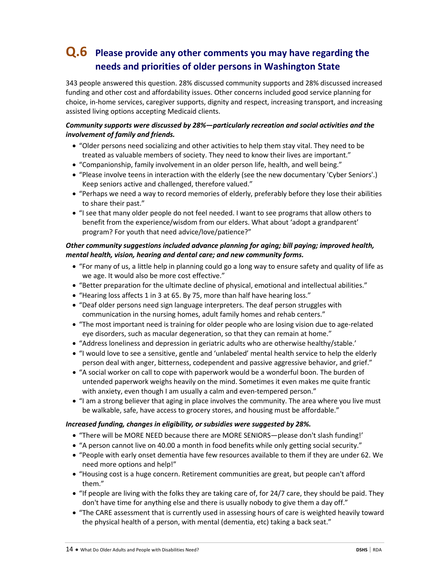# **Q.6 Please provide any other comments you may have regarding the needs and priorities of older persons in Washington State**

343 people answered this question. 28% discussed community supports and 28% discussed increased funding and other cost and affordability issues. Other concerns included good service planning for choice, in-home services, caregiver supports, dignity and respect, increasing transport, and increasing assisted living options accepting Medicaid clients.

#### *Community supports were discussed by 28%—particularly recreation and social activities and the involvement of family and friends.*

- "Older persons need socializing and other activities to help them stay vital. They need to be treated as valuable members of society. They need to know their lives are important."
- "Companionship, family involvement in an older person life, health, and well being."
- "Please involve teens in interaction with the elderly (see the new documentary 'Cyber Seniors'.) Keep seniors active and challenged, therefore valued."
- "Perhaps we need a way to record memories of elderly, preferably before they lose their abilities to share their past."
- "I see that many older people do not feel needed. I want to see programs that allow others to benefit from the experience/wisdom from our elders. What about 'adopt a grandparent' program? For youth that need advice/love/patience?"

### *Other community suggestions included advance planning for aging; bill paying; improved health, mental health, vision, hearing and dental care; and new community forms.*

- "For many of us, a little help in planning could go a long way to ensure safety and quality of life as we age. It would also be more cost effective."
- "Better preparation for the ultimate decline of physical, emotional and intellectual abilities."
- "Hearing loss affects 1 in 3 at 65. By 75, more than half have hearing loss."
- "Deaf older persons need sign language interpreters. The deaf person struggles with communication in the nursing homes, adult family homes and rehab centers."
- "The most important need is training for older people who are losing vision due to age-related eye disorders, such as macular degeneration, so that they can remain at home."
- "Address loneliness and depression in geriatric adults who are otherwise healthy/stable.'
- "I would love to see a sensitive, gentle and 'unlabeled' mental health service to help the elderly person deal with anger, bitterness, codependent and passive aggressive behavior, and grief."
- "A social worker on call to cope with paperwork would be a wonderful boon. The burden of untended paperwork weighs heavily on the mind. Sometimes it even makes me quite frantic with anxiety, even though I am usually a calm and even-tempered person."
- "I am a strong believer that aging in place involves the community. The area where you live must be walkable, safe, have access to grocery stores, and housing must be affordable."

#### *Increased funding, changes in eligibility, or subsidies were suggested by 28%.*

- "There will be MORE NEED because there are MORE SENIORS—please don't slash funding!'
- "A person cannot live on 40.00 a month in food benefits while only getting social security."
- "People with early onset dementia have few resources available to them if they are under 62. We need more options and help!"
- "Housing cost is a huge concern. Retirement communities are great, but people can't afford them."
- "If people are living with the folks they are taking care of, for 24/7 care, they should be paid. They don't have time for anything else and there is usually nobody to give them a day off."
- "The CARE assessment that is currently used in assessing hours of care is weighted heavily toward the physical health of a person, with mental (dementia, etc) taking a back seat."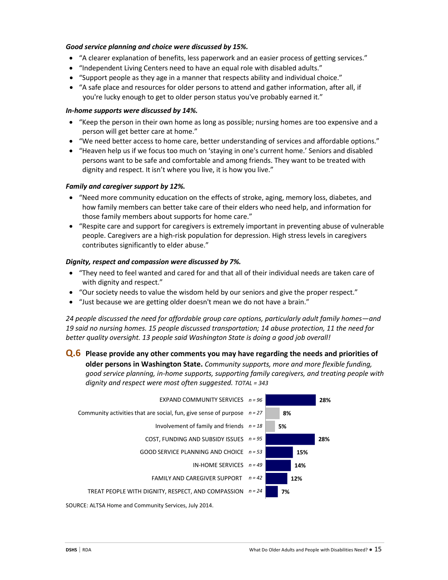#### *Good service planning and choice were discussed by 15%.*

- "A clearer explanation of benefits, less paperwork and an easier process of getting services."
- "Independent Living Centers need to have an equal role with disabled adults."
- "Support people as they age in a manner that respects ability and individual choice."
- "A safe place and resources for older persons to attend and gather information, after all, if you're lucky enough to get to older person status you've probably earned it."

#### *In-home supports were discussed by 14%.*

- "Keep the person in their own home as long as possible; nursing homes are too expensive and a person will get better care at home."
- "We need better access to home care, better understanding of services and affordable options."
- "Heaven help us if we focus too much on 'staying in one's current home.' Seniors and disabled persons want to be safe and comfortable and among friends. They want to be treated with dignity and respect. It isn't where you live, it is how you live."

#### *Family and caregiver support by 12%.*

- "Need more community education on the effects of stroke, aging, memory loss, diabetes, and how family members can better take care of their elders who need help, and information for those family members about supports for home care."
- "Respite care and support for caregivers is extremely important in preventing abuse of vulnerable people. Caregivers are a high-risk population for depression. High stress levels in caregivers contributes significantly to elder abuse."

#### *Dignity, respect and compassion were discussed by 7%.*

- "They need to feel wanted and cared for and that all of their individual needs are taken care of with dignity and respect."
- "Our society needs to value the wisdom held by our seniors and give the proper respect."
- "Just because we are getting older doesn't mean we do not have a brain."

*24 people discussed the need for affordable group care options, particularly adult family homes—and 19 said no nursing homes. 15 people discussed transportation; 14 abuse protection, 11 the need for better quality oversight. 13 people said Washington State is doing a good job overall!*

**Q.6 Please provide any other comments you may have regarding the needs and priorities of older persons in Washington State.** *Community supports, more and more flexible funding, good service planning, in-home supports, supporting family caregivers, and treating people with dignity and respect were most often suggested. TOTAL = 343*

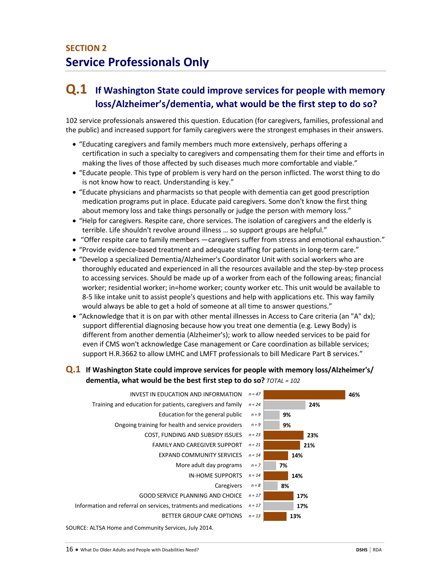# **Q.1 If Washington State could improve services for people with memory loss/Alzheimer's/dementia, what would be the first step to do so?**

102 service professionals answered this question. Education (for caregivers, families, professional and the public) and increased support for family caregivers were the strongest emphases in their answers.

- "Educating caregivers and family members much more extensively, perhaps offering a certification in such a specialty to caregivers and compensating them for their time and efforts in making the lives of those affected by such diseases much more comfortable and viable."
- "Educate people. This type of problem is very hard on the person inflicted. The worst thing to do is not know how to react. Understanding is key."
- "Educate physicians and pharmacists so that people with dementia can get good prescription medication programs put in place. Educate paid caregivers. Some don't know the first thing about memory loss and take things personally or judge the person with memory loss."
- "Help for caregivers. Respite care, chore services. The isolation of caregivers and the elderly is terrible. Life shouldn't revolve around illness … so support groups are helpful."
- "Offer respite care to family members —caregivers suffer from stress and emotional exhaustion."
- "Provide evidence-based treatment and adequate staffing for patients in long-term care."
- "Develop a specialized Dementia/Alzheimer's Coordinator Unit with social workers who are thoroughly educated and experienced in all the resources available and the step-by-step process to accessing services. Should be made up of a worker from each of the following areas; financial worker; residential worker; in=home worker; county worker etc. This unit would be available to 8-5 like intake unit to assist people's questions and help with applications etc. This way family would always be able to get a hold of someone at all time to answer questions."
- "Acknowledge that it is on par with other mental illnesses in Access to Care criteria (an "A" dx); support differential diagnosing because how you treat one dementia (e.g. Lewy Body) is different from another dementia (Alzheimer's); work to allow needed services to be paid for even if CMS won't acknowledge Case management or Care coordination as billable services; support H.R.3662 to allow LMHC and LMFT professionals to bill Medicare Part B services."

### **Q.1 If Washington State could improve services for people with memory loss/Alzheimer's/ dementia, what would be the best first step to do so?** *TOTAL = 102*

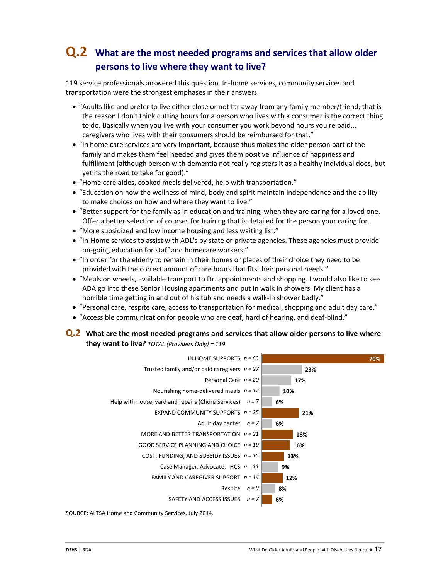# **Q.2 What are the most needed programs and services that allow older persons to live where they want to live?**

119 service professionals answered this question. In-home services, community services and transportation were the strongest emphases in their answers.

- "Adults like and prefer to live either close or not far away from any family member/friend; that is the reason I don't think cutting hours for a person who lives with a consumer is the correct thing to do. Basically when you live with your consumer you work beyond hours you're paid... caregivers who lives with their consumers should be reimbursed for that."
- "In home care services are very important, because thus makes the older person part of the family and makes them feel needed and gives them positive influence of happiness and fulfillment (although person with dementia not really registers it as a healthy individual does, but yet its the road to take for good)."
- "Home care aides, cooked meals delivered, help with transportation."
- "Education on how the wellness of mind, body and spirit maintain independence and the ability to make choices on how and where they want to live."
- "Better support for the family as in education and training, when they are caring for a loved one. Offer a better selection of courses for training that is detailed for the person your caring for.
- "More subsidized and low income housing and less waiting list."
- "In-Home services to assist with ADL's by state or private agencies. These agencies must provide on-going education for staff and homecare workers."
- "In order for the elderly to remain in their homes or places of their choice they need to be provided with the correct amount of care hours that fits their personal needs."
- "Meals on wheels, available transport to Dr. appointments and shopping. I would also like to see ADA go into these Senior Housing apartments and put in walk in showers. My client has a horrible time getting in and out of his tub and needs a walk-in shower badly."
- "Personal care, respite care, access to transportation for medical, shopping and adult day care."
- "Accessible communication for people who are deaf, hard of hearing, and deaf-blind."

#### **Q.2 What are the most needed programs and services that allow older persons to live where they want to live?** *TOTAL (Providers Only) = 119*

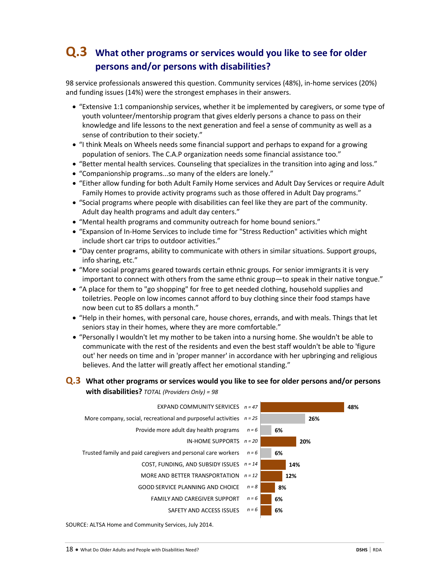# **Q.3 What other programs or services would you like to see for older persons and/or persons with disabilities?**

98 service professionals answered this question. Community services (48%), in-home services (20%) and funding issues (14%) were the strongest emphases in their answers.

- "Extensive 1:1 companionship services, whether it be implemented by caregivers, or some type of youth volunteer/mentorship program that gives elderly persons a chance to pass on their knowledge and life lessons to the next generation and feel a sense of community as well as a sense of contribution to their society."
- "I think Meals on Wheels needs some financial support and perhaps to expand for a growing population of seniors. The C.A.P organization needs some financial assistance too."
- "Better mental health services. Counseling that specializes in the transition into aging and loss."
- "Companionship programs...so many of the elders are lonely."
- "Either allow funding for both Adult Family Home services and Adult Day Services or require Adult Family Homes to provide activity programs such as those offered in Adult Day programs."
- "Social programs where people with disabilities can feel like they are part of the community. Adult day health programs and adult day centers."
- "Mental health programs and community outreach for home bound seniors."
- "Expansion of In-Home Services to include time for "Stress Reduction" activities which might include short car trips to outdoor activities."
- "Day center programs, ability to communicate with others in similar situations. Support groups, info sharing, etc."
- "More social programs geared towards certain ethnic groups. For senior immigrants it is very important to connect with others from the same ethnic group—to speak in their native tongue."
- "A place for them to "go shopping" for free to get needed clothing, household supplies and toiletries. People on low incomes cannot afford to buy clothing since their food stamps have now been cut to 85 dollars a month."
- "Help in their homes, with personal care, house chores, errands, and with meals. Things that let seniors stay in their homes, where they are more comfortable."
- "Personally I wouldn't let my mother to be taken into a nursing home. She wouldn't be able to communicate with the rest of the residents and even the best staff wouldn't be able to 'figure out' her needs on time and in 'proper manner' in accordance with her upbringing and religious believes. And the latter will greatly affect her emotional standing."

#### **Q.3 What other programs or services would you like to see for older persons and/or persons with disabilities?** *TOTAL (Providers Only) = 98*

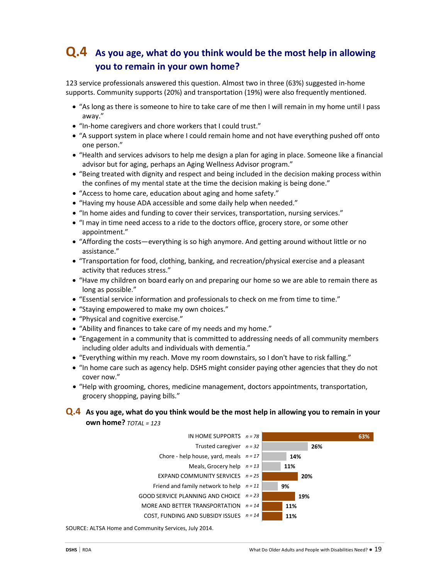# **Q.4 As you age, what do you think would be the most help in allowing you to remain in your own home?**

123 service professionals answered this question. Almost two in three (63%) suggested in-home supports. Community supports (20%) and transportation (19%) were also frequently mentioned.

- "As long as there is someone to hire to take care of me then I will remain in my home until I pass away."
- "In-home caregivers and chore workers that I could trust."
- "A support system in place where I could remain home and not have everything pushed off onto one person."
- "Health and services advisors to help me design a plan for aging in place. Someone like a financial advisor but for aging, perhaps an Aging Wellness Advisor program."
- "Being treated with dignity and respect and being included in the decision making process within the confines of my mental state at the time the decision making is being done."
- "Access to home care, education about aging and home safety."
- "Having my house ADA accessible and some daily help when needed."
- "In home aides and funding to cover their services, transportation, nursing services."
- "I may in time need access to a ride to the doctors office, grocery store, or some other appointment."
- "Affording the costs—everything is so high anymore. And getting around without little or no assistance."
- "Transportation for food, clothing, banking, and recreation/physical exercise and a pleasant activity that reduces stress."
- "Have my children on board early on and preparing our home so we are able to remain there as long as possible."
- "Essential service information and professionals to check on me from time to time."
- "Staying empowered to make my own choices."
- "Physical and cognitive exercise."
- "Ability and finances to take care of my needs and my home."
- "Engagement in a community that is committed to addressing needs of all community members including older adults and individuals with dementia."
- "Everything within my reach. Move my room downstairs, so I don't have to risk falling."
- "In home care such as agency help. DSHS might consider paying other agencies that they do not cover now."
- "Help with grooming, chores, medicine management, doctors appointments, transportation, grocery shopping, paying bills."

### **Q.4 As you age, what do you think would be the most help in allowing you to remain in your own home?** *TOTAL = 123*

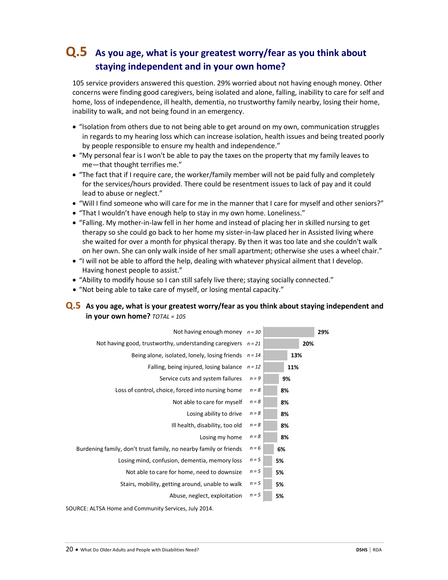# **Q.5 As you age, what is your greatest worry/fear as you think about staying independent and in your own home?**

105 service providers answered this question. 29% worried about not having enough money. Other concerns were finding good caregivers, being isolated and alone, falling, inability to care for self and home, loss of independence, ill health, dementia, no trustworthy family nearby, losing their home, inability to walk, and not being found in an emergency.

- "Isolation from others due to not being able to get around on my own, communication struggles in regards to my hearing loss which can increase isolation, health issues and being treated poorly by people responsible to ensure my health and independence."
- "My personal fear is I won't be able to pay the taxes on the property that my family leaves to me—that thought terrifies me."
- "The fact that if I require care, the worker/family member will not be paid fully and completely for the services/hours provided. There could be resentment issues to lack of pay and it could lead to abuse or neglect."
- "Will I find someone who will care for me in the manner that I care for myself and other seniors?"
- "That I wouldn't have enough help to stay in my own home. Loneliness."
- "Falling. My mother-in-law fell in her home and instead of placing her in skilled nursing to get therapy so she could go back to her home my sister-in-law placed her in Assisted living where she waited for over a month for physical therapy. By then it was too late and she couldn't walk on her own. She can only walk inside of her small apartment; otherwise she uses a wheel chair."
- "I will not be able to afford the help, dealing with whatever physical ailment that I develop. Having honest people to assist."
- "Ability to modify house so I can still safely live there; staying socially connected."
- "Not being able to take care of myself, or losing mental capacity."

### **Q.5 As you age, what is your greatest worry/fear as you think about staying independent and in your own home?** *TOTAL = 105*

| Not having enough money $n = 30$                                  |          |     | 29% |
|-------------------------------------------------------------------|----------|-----|-----|
| Not having good, trustworthy, understanding caregivers $n = 21$   |          |     | 20% |
| Being alone, isolated, lonely, losing friends                     | $n = 14$ |     | 13% |
| Falling, being injured, losing balance                            | $n = 12$ | 11% |     |
| Service cuts and system failures                                  | $n = 9$  | 9%  |     |
| Loss of control, choice, forced into nursing home                 | $n = 8$  | 8%  |     |
| Not able to care for myself                                       | $n = 8$  | 8%  |     |
| Losing ability to drive                                           | $n = 8$  | 8%  |     |
| Ill health, disability, too old                                   | $n = 8$  | 8%  |     |
| Losing my home                                                    | $n = 8$  | 8%  |     |
| Burdening family, don't trust family, no nearby family or friends | $n = 6$  | 6%  |     |
| Losing mind, confusion, dementia, memory loss                     | $n = 5$  | 5%  |     |
| Not able to care for home, need to downsize                       | $n = 5$  | 5%  |     |
| Stairs, mobility, getting around, unable to walk                  | $n = 5$  | 5%  |     |
| Abuse, neglect, exploitation                                      | $n = 5$  | 5%  |     |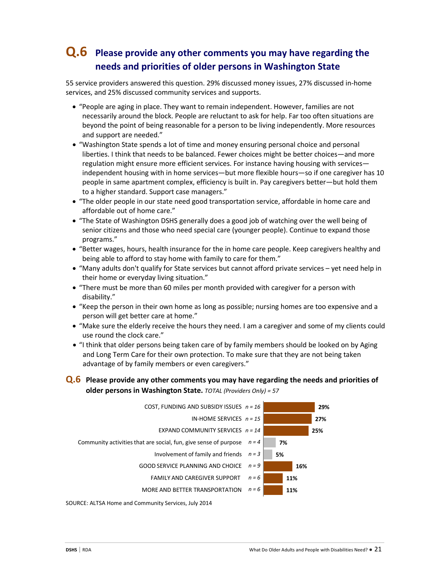# **Q.6 Please provide any other comments you may have regarding the needs and priorities of older persons in Washington State**

55 service providers answered this question. 29% discussed money issues, 27% discussed in-home services, and 25% discussed community services and supports.

- "People are aging in place. They want to remain independent. However, families are not necessarily around the block. People are reluctant to ask for help. Far too often situations are beyond the point of being reasonable for a person to be living independently. More resources and support are needed."
- "Washington State spends a lot of time and money ensuring personal choice and personal liberties. I think that needs to be balanced. Fewer choices might be better choices—and more regulation might ensure more efficient services. For instance having housing with services independent housing with in home services—but more flexible hours—so if one caregiver has 10 people in same apartment complex, efficiency is built in. Pay caregivers better—but hold them to a higher standard. Support case managers."
- "The older people in our state need good transportation service, affordable in home care and affordable out of home care."
- "The State of Washington DSHS generally does a good job of watching over the well being of senior citizens and those who need special care (younger people). Continue to expand those programs."
- "Better wages, hours, health insurance for the in home care people. Keep caregivers healthy and being able to afford to stay home with family to care for them."
- "Many adults don't qualify for State services but cannot afford private services yet need help in their home or everyday living situation."
- "There must be more than 60 miles per month provided with caregiver for a person with disability."
- "Keep the person in their own home as long as possible; nursing homes are too expensive and a person will get better care at home."
- "Make sure the elderly receive the hours they need. I am a caregiver and some of my clients could use round the clock care."
- "I think that older persons being taken care of by family members should be looked on by Aging and Long Term Care for their own protection. To make sure that they are not being taken advantage of by family members or even caregivers."

### **Q.6 Please provide any other comments you may have regarding the needs and priorities of older persons in Washington State.** *TOTAL (Providers Only) = 57*

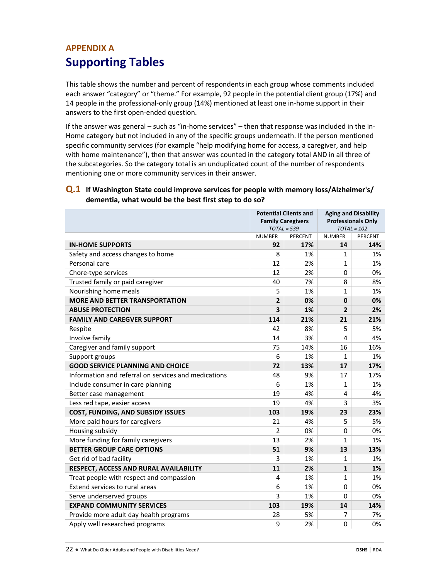# **APPENDIX A Supporting Tables**

This table shows the number and percent of respondents in each group whose comments included each answer "category" or "theme." For example, 92 people in the potential client group (17%) and 14 people in the professional-only group (14%) mentioned at least one in-home support in their answers to the first open-ended question.

If the answer was general – such as "in-home services" – then that response was included in the in-Home category but not included in any of the specific groups underneath. If the person mentioned specific community services (for example "help modifying home for access, a caregiver, and help with home maintenance"), then that answer was counted in the category total AND in all three of the subcategories. So the category total is an unduplicated count of the number of respondents mentioning one or more community services in their answer.

### **Q.1 If Washington State could improve services for people with memory loss/Alzheimer's/ dementia, what would be the best first step to do so?**

|                                                      | <b>Potential Clients and</b><br><b>Family Caregivers</b><br>$TOTAL = 539$ |                | <b>Aging and Disability</b><br><b>Professionals Only</b><br>$TOTAL = 102$ |                |
|------------------------------------------------------|---------------------------------------------------------------------------|----------------|---------------------------------------------------------------------------|----------------|
|                                                      | <b>NUMBER</b>                                                             | <b>PERCENT</b> |                                                                           | <b>PERCENT</b> |
| <b>IN-HOME SUPPORTS</b>                              | 92                                                                        | 17%            | 14                                                                        | 14%            |
| Safety and access changes to home                    | 8                                                                         | 1%             | $\mathbf{1}$                                                              | 1%             |
| Personal care                                        | 12                                                                        | 2%             | $\mathbf{1}$                                                              | 1%             |
| Chore-type services                                  | 12                                                                        | 2%             | 0                                                                         | 0%             |
| Trusted family or paid caregiver                     | 40                                                                        | 7%             | 8                                                                         | 8%             |
| Nourishing home meals                                | 5                                                                         | 1%             | 1                                                                         | 1%             |
| <b>MORE AND BETTER TRANSPORTATION</b>                | $\overline{2}$                                                            | 0%             | 0                                                                         | 0%             |
| <b>ABUSE PROTECTION</b>                              | 3                                                                         | 1%             | $\overline{2}$                                                            | 2%             |
| <b>FAMILY AND CAREGVER SUPPORT</b>                   | 114                                                                       | 21%            | 21                                                                        | 21%            |
| Respite                                              | 42                                                                        | 8%             | 5                                                                         | 5%             |
| Involve family                                       | 14                                                                        | 3%             | 4                                                                         | 4%             |
| Caregiver and family support                         | 75                                                                        | 14%            | 16                                                                        | 16%            |
| Support groups                                       | 6                                                                         | 1%             | $\mathbf{1}$                                                              | 1%             |
| <b>GOOD SERVICE PLANNING AND CHOICE</b>              | 72                                                                        | 13%            | 17                                                                        | 17%            |
| Information and referral on services and medications | 48                                                                        | 9%             | 17                                                                        | 17%            |
| Include consumer in care planning                    | 6                                                                         | 1%             | 1                                                                         | 1%             |
| Better case management                               | 19                                                                        | 4%             | 4                                                                         | 4%             |
| Less red tape, easier access                         | 19                                                                        | 4%             | 3                                                                         | 3%             |
| COST, FUNDING, AND SUBSIDY ISSUES                    | 103                                                                       | 19%            | 23                                                                        | 23%            |
| More paid hours for caregivers                       | 21                                                                        | 4%             | 5                                                                         | 5%             |
| Housing subsidy                                      | $\overline{2}$                                                            | 0%             | 0                                                                         | 0%             |
| More funding for family caregivers                   | 13                                                                        | 2%             | 1                                                                         | 1%             |
| <b>BETTER GROUP CARE OPTIONS</b>                     | 51                                                                        | 9%             | 13                                                                        | 13%            |
| Get rid of bad facility                              | 3                                                                         | 1%             | $\mathbf{1}$                                                              | 1%             |
| RESPECT, ACCESS AND RURAL AVAILABILITY               | 11                                                                        | 2%             | $\mathbf{1}$                                                              | 1%             |
| Treat people with respect and compassion             | 4                                                                         | 1%             | $\mathbf{1}$                                                              | 1%             |
| Extend services to rural areas                       | 6                                                                         | 1%             | 0                                                                         | 0%             |
| Serve underserved groups                             | 3                                                                         | 1%             | 0                                                                         | 0%             |
| <b>EXPAND COMMUNITY SERVICES</b>                     | 103                                                                       | 19%            | 14                                                                        | 14%            |
| Provide more adult day health programs               | 28                                                                        | 5%             | 7                                                                         | 7%             |
| Apply well researched programs                       | 9                                                                         | 2%             | 0                                                                         | 0%             |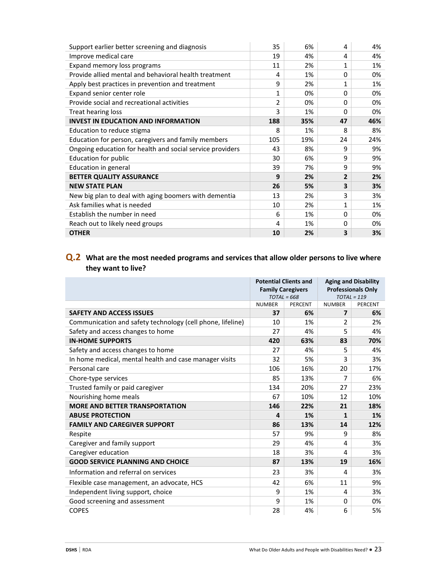| Support earlier better screening and diagnosis            | 35  | 6%  | 4        | 4%  |
|-----------------------------------------------------------|-----|-----|----------|-----|
| Improve medical care                                      | 19  | 4%  | 4        | 4%  |
| Expand memory loss programs                               | 11  | 2%  | 1        | 1%  |
| Provide allied mental and behavioral health treatment     | 4   | 1%  | $\Omega$ | 0%  |
| Apply best practices in prevention and treatment          | 9   | 2%  | 1        | 1%  |
| Expand senior center role                                 | 1   | 0%  | $\Omega$ | 0%  |
| Provide social and recreational activities                | 2   | 0%  | $\Omega$ | 0%  |
| Treat hearing loss                                        | 3   | 1%  | $\Omega$ | 0%  |
| <b>INVEST IN EDUCATION AND INFORMATION</b>                | 188 | 35% | 47       | 46% |
| Education to reduce stigma                                | 8   | 1%  | 8        | 8%  |
| Education for person, caregivers and family members       | 105 | 19% | 24       | 24% |
| Ongoing education for health and social service providers | 43  | 8%  | 9        | 9%  |
| Education for public                                      | 30  | 6%  | 9        | 9%  |
| Education in general                                      | 39  | 7%  | 9        | 9%  |
| <b>BETTER QUALITY ASSURANCE</b>                           | 9   | 2%  | 2        | 2%  |
| <b>NEW STATE PLAN</b>                                     | 26  | 5%  | 3        | 3%  |
| New big plan to deal with aging boomers with dementia     | 13  | 2%  | 3        | 3%  |
| Ask families what is needed                               | 10  | 2%  | 1        | 1%  |
| Establish the number in need                              | 6   | 1%  | 0        | 0%  |
| Reach out to likely need groups                           | 4   | 1%  | 0        | 0%  |
| <b>OTHER</b>                                              | 10  | 2%  | 3        | 3%  |

## **Q.2 What are the most needed programs and services that allow older persons to live where they want to live?**

|                                                            | <b>Potential Clients and</b><br><b>Family Caregivers</b><br>$TOTAL = 668$ |                | <b>Aging and Disability</b><br><b>Professionals Only</b><br>$TOTAL = 119$ |         |
|------------------------------------------------------------|---------------------------------------------------------------------------|----------------|---------------------------------------------------------------------------|---------|
|                                                            | <b>NUMBER</b>                                                             | <b>PERCENT</b> | <b>NUMBER</b>                                                             | PERCENT |
| <b>SAFETY AND ACCESS ISSUES</b>                            | 37                                                                        | 6%             | 7                                                                         | 6%      |
| Communication and safety technology (cell phone, lifeline) | 10                                                                        | 1%             | $\mathcal{P}$                                                             | 2%      |
| Safety and access changes to home                          | 27                                                                        | 4%             | 5                                                                         | 4%      |
| <b>IN-HOME SUPPORTS</b>                                    | 420                                                                       | 63%            | 83                                                                        | 70%     |
| Safety and access changes to home                          | 27                                                                        | 4%             | 5                                                                         | 4%      |
| In home medical, mental health and case manager visits     | 32                                                                        | 5%             | 3                                                                         | 3%      |
| Personal care                                              | 106                                                                       | 16%            | 20                                                                        | 17%     |
| Chore-type services                                        | 85                                                                        | 13%            | 7                                                                         | 6%      |
| Trusted family or paid caregiver                           | 134                                                                       | 20%            | 27                                                                        | 23%     |
| Nourishing home meals                                      | 67                                                                        | 10%            | 12                                                                        | 10%     |
| <b>MORE AND BETTER TRANSPORTATION</b>                      | 146                                                                       | 22%            | 21                                                                        | 18%     |
| <b>ABUSE PROTECTION</b>                                    | 4                                                                         | 1%             | 1                                                                         | 1%      |
| <b>FAMILY AND CAREGIVER SUPPORT</b>                        | 86                                                                        | 13%            | 14                                                                        | 12%     |
| Respite                                                    | 57                                                                        | 9%             | 9                                                                         | 8%      |
| Caregiver and family support                               | 29                                                                        | 4%             | 4                                                                         | 3%      |
| Caregiver education                                        | 18                                                                        | 3%             | 4                                                                         | 3%      |
| <b>GOOD SERVICE PLANNING AND CHOICE</b>                    | 87                                                                        | 13%            | 19                                                                        | 16%     |
| Information and referral on services                       | 23                                                                        | 3%             | 4                                                                         | 3%      |
| Flexible case management, an advocate, HCS                 | 42                                                                        | 6%             | 11                                                                        | 9%      |
| Independent living support, choice                         | q                                                                         | 1%             | 4                                                                         | 3%      |
| Good screening and assessment                              | 9                                                                         | 1%             | 0                                                                         | 0%      |
| <b>COPES</b>                                               | 28                                                                        | 4%             | 6                                                                         | 5%      |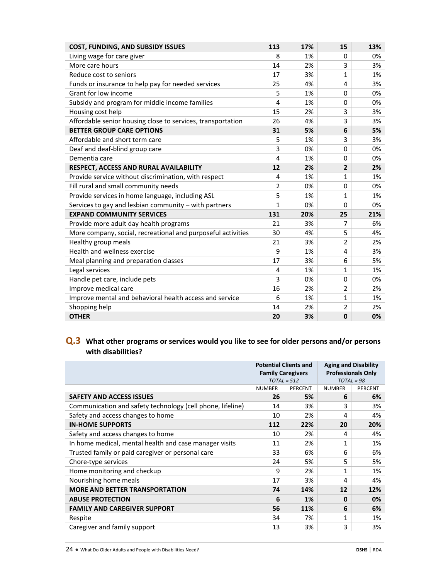| <b>COST, FUNDING, AND SUBSIDY ISSUES</b>                     | 113          | 17% | 15             | 13% |
|--------------------------------------------------------------|--------------|-----|----------------|-----|
| Living wage for care giver                                   | 8            | 1%  | $\Omega$       | 0%  |
| More care hours                                              | 14           | 2%  | 3              | 3%  |
| Reduce cost to seniors                                       | 17           | 3%  | 1              | 1%  |
| Funds or insurance to help pay for needed services           | 25           | 4%  | 4              | 3%  |
| Grant for low income                                         | 5            | 1%  | $\Omega$       | 0%  |
| Subsidy and program for middle income families               | 4            | 1%  | $\Omega$       | 0%  |
| Housing cost help                                            | 15           | 2%  | 3              | 3%  |
| Affordable senior housing close to services, transportation  | 26           | 4%  | 3              | 3%  |
| <b>BETTER GROUP CARE OPTIONS</b>                             | 31           | 5%  | 6              | 5%  |
| Affordable and short term care                               | 5            | 1%  | 3              | 3%  |
| Deaf and deaf-blind group care                               | 3            | 0%  | $\Omega$       | 0%  |
| Dementia care                                                | 4            | 1%  | $\Omega$       | 0%  |
| RESPECT, ACCESS AND RURAL AVAILABILITY                       | 12           | 2%  | $\overline{2}$ | 2%  |
| Provide service without discrimination, with respect         | 4            | 1%  | 1              | 1%  |
| Fill rural and small community needs                         | 2            | 0%  | $\Omega$       | 0%  |
| Provide services in home language, including ASL             | 5            | 1%  | 1              | 1%  |
| Services to gay and lesbian community - with partners        | $\mathbf{1}$ | 0%  | $\Omega$       | 0%  |
| <b>EXPAND COMMUNITY SERVICES</b>                             | 131          | 20% | 25             | 21% |
| Provide more adult day health programs                       | 21           | 3%  | 7              | 6%  |
| More company, social, recreational and purposeful activities | 30           | 4%  | 5              | 4%  |
| Healthy group meals                                          | 21           | 3%  | 2              | 2%  |
| Health and wellness exercise                                 | 9            | 1%  | 4              | 3%  |
| Meal planning and preparation classes                        | 17           | 3%  | 6              | 5%  |
| Legal services                                               | 4            | 1%  | 1              | 1%  |
| Handle pet care, include pets                                | 3            | 0%  | $\Omega$       | 0%  |
| Improve medical care                                         | 16           | 2%  | 2              | 2%  |
| Improve mental and behavioral health access and service      | 6            | 1%  | $\mathbf{1}$   | 1%  |
| Shopping help                                                | 14           | 2%  | 2              | 2%  |
| <b>OTHER</b>                                                 | 20           | 3%  | $\mathbf 0$    | 0%  |

## **Q.3 What other programs or services would you like to see for older persons and/or persons with disabilities?**

|                                                            | <b>Potential Clients and</b><br><b>Family Caregivers</b><br>$TOTAL = 512$ |         | <b>Aging and Disability</b><br><b>Professionals Only</b><br>$TOTAL = 98$ |         |  |
|------------------------------------------------------------|---------------------------------------------------------------------------|---------|--------------------------------------------------------------------------|---------|--|
|                                                            | <b>NUMBER</b>                                                             | PERCENT | <b>NUMBER</b>                                                            | PERCENT |  |
| <b>SAFETY AND ACCESS ISSUES</b>                            | 26                                                                        | 5%      | 6                                                                        | 6%      |  |
| Communication and safety technology (cell phone, lifeline) | 14                                                                        | 3%      | 3                                                                        | 3%      |  |
| Safety and access changes to home                          | 10                                                                        | 2%      | 4                                                                        | 4%      |  |
| <b>IN-HOME SUPPORTS</b>                                    | 112                                                                       | 22%     | 20                                                                       | 20%     |  |
| Safety and access changes to home                          | 10                                                                        | 2%      | 4                                                                        | 4%      |  |
| In home medical, mental health and case manager visits     | 11                                                                        | 2%      | $\overline{1}$                                                           | 1%      |  |
| Trusted family or paid caregiver or personal care          | 33                                                                        | 6%      | 6                                                                        | 6%      |  |
| Chore-type services                                        | 24                                                                        | 5%      | 5                                                                        | 5%      |  |
| Home monitoring and checkup                                | 9                                                                         | 2%      | 1                                                                        | 1%      |  |
| Nourishing home meals                                      | 17                                                                        | 3%      | 4                                                                        | 4%      |  |
| <b>MORE AND BETTER TRANSPORTATION</b>                      | 74                                                                        | 14%     | 12                                                                       | 12%     |  |
| <b>ABUSE PROTECTION</b>                                    | 6                                                                         | 1%      | $\bf{0}$                                                                 | 0%      |  |
| <b>FAMILY AND CAREGIVER SUPPORT</b>                        | 56                                                                        | 11%     | 6                                                                        | 6%      |  |
| Respite                                                    | 34                                                                        | 7%      | 1                                                                        | 1%      |  |
| Caregiver and family support                               | 13                                                                        | 3%      | 3                                                                        | 3%      |  |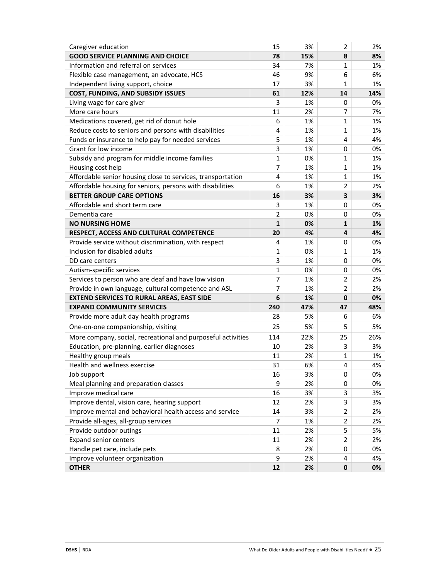| Caregiver education                                          | 15              | 3%  | $\overline{2}$          | 2%  |
|--------------------------------------------------------------|-----------------|-----|-------------------------|-----|
| <b>GOOD SERVICE PLANNING AND CHOICE</b>                      | 78              | 15% | 8                       | 8%  |
| Information and referral on services                         | 34              | 7%  | 1                       | 1%  |
| Flexible case management, an advocate, HCS                   | 46              | 9%  | 6                       | 6%  |
| Independent living support, choice                           | 17              | 3%  | $\mathbf{1}$            | 1%  |
| COST, FUNDING, AND SUBSIDY ISSUES                            | 61              | 12% | 14                      | 14% |
| Living wage for care giver                                   | 3               | 1%  | 0                       | 0%  |
| More care hours                                              | 11              | 2%  | 7                       | 7%  |
| Medications covered, get rid of donut hole                   | 6               | 1%  | 1                       | 1%  |
| Reduce costs to seniors and persons with disabilities        | 4               | 1%  | $\mathbf{1}$            | 1%  |
| Funds or insurance to help pay for needed services           | 5               | 1%  | 4                       | 4%  |
| Grant for low income                                         | 3               | 1%  | $\mathbf 0$             | 0%  |
| Subsidy and program for middle income families               | $\mathbf{1}$    | 0%  | $\mathbf{1}$            | 1%  |
| Housing cost help                                            | $\overline{7}$  | 1%  | $\mathbf{1}$            | 1%  |
| Affordable senior housing close to services, transportation  | 4               | 1%  | 1                       | 1%  |
| Affordable housing for seniors, persons with disabilities    | 6               | 1%  | 2                       | 2%  |
| <b>BETTER GROUP CARE OPTIONS</b>                             | 16              | 3%  | $\overline{\mathbf{3}}$ | 3%  |
| Affordable and short term care                               | 3               | 1%  | 0                       | 0%  |
| Dementia care                                                | $\overline{2}$  | 0%  | 0                       | 0%  |
| <b>NO NURSING HOME</b>                                       | $\mathbf{1}$    | 0%  | $\mathbf{1}$            | 1%  |
| RESPECT, ACCESS AND CULTURAL COMPETENCE                      | 20              | 4%  | 4                       | 4%  |
| Provide service without discrimination, with respect         | 4               | 1%  | $\mathbf 0$             | 0%  |
| Inclusion for disabled adults                                | $\mathbf{1}$    | 0%  | $\mathbf{1}$            | 1%  |
| DD care centers                                              | 3               | 1%  | 0                       | 0%  |
| Autism-specific services                                     | $\mathbf{1}$    | 0%  | 0                       | 0%  |
| Services to person who are deaf and have low vision          | $\overline{7}$  | 1%  | $\overline{2}$          | 2%  |
| Provide in own language, cultural competence and ASL         | $\overline{7}$  | 1%  | 2                       | 2%  |
| <b>EXTEND SERVICES TO RURAL AREAS, EAST SIDE</b>             | $6\phantom{1}6$ | 1%  | $\mathbf 0$             | 0%  |
| <b>EXPAND COMMUNITY SERVICES</b>                             | 240             | 47% | 47                      | 48% |
| Provide more adult day health programs                       | 28              | 5%  | 6                       | 6%  |
| One-on-one companionship, visiting                           | 25              | 5%  | 5                       | 5%  |
| More company, social, recreational and purposeful activities | 114             | 22% | 25                      | 26% |
| Education, pre-planning, earlier diagnoses                   | 10              | 2%  | 3                       | 3%  |
| Healthy group meals                                          | 11              | 2%  | 1                       | 1%  |
| Health and wellness exercise                                 | 31              | 6%  | 4                       | 4%  |
| Job support                                                  | 16              | 3%  | 0                       | 0%  |
| Meal planning and preparation classes                        | 9               | 2%  | 0                       | 0%  |
| Improve medical care                                         | 16              | 3%  | 3                       | 3%  |
| Improve dental, vision care, hearing support                 | 12              | 2%  | 3                       | 3%  |
| Improve mental and behavioral health access and service      | 14              | 3%  | $\overline{2}$          | 2%  |
| Provide all-ages, all-group services                         | $\overline{7}$  | 1%  | 2                       | 2%  |
| Provide outdoor outings                                      | 11              | 2%  | 5                       | 5%  |
| <b>Expand senior centers</b>                                 | 11              | 2%  | $\overline{2}$          | 2%  |
| Handle pet care, include pets                                | 8               | 2%  | $\mathbf 0$             | 0%  |
| Improve volunteer organization                               | 9               | 2%  | 4                       | 4%  |
| <b>OTHER</b>                                                 | 12              | 2%  | $\mathbf 0$             | 0%  |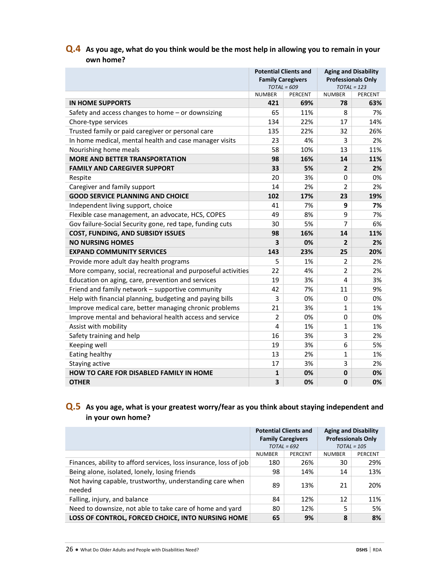### **Q.4 As you age, what do you think would be the most help in allowing you to remain in your own home?**

|                                                              | <b>Potential Clients and</b><br><b>Family Caregivers</b><br>$TOTAL = 609$ |     | <b>Aging and Disability</b><br><b>Professionals Only</b><br>$TOTAL = 123$ |         |
|--------------------------------------------------------------|---------------------------------------------------------------------------|-----|---------------------------------------------------------------------------|---------|
|                                                              | <b>NUMBER</b><br>PERCENT                                                  |     | <b>NUMBER</b>                                                             | PERCENT |
| <b>IN HOME SUPPORTS</b>                                      | 421                                                                       | 69% | 78                                                                        | 63%     |
| Safety and access changes to home - or downsizing            | 65                                                                        | 11% | 8                                                                         | 7%      |
| Chore-type services                                          | 134                                                                       | 22% | 17                                                                        | 14%     |
| Trusted family or paid caregiver or personal care            | 135                                                                       | 22% | 32                                                                        | 26%     |
| In home medical, mental health and case manager visits       | 23                                                                        | 4%  | 3                                                                         | 2%      |
| Nourishing home meals                                        | 58                                                                        | 10% | 13                                                                        | 11%     |
| <b>MORE AND BETTER TRANSPORTATION</b>                        | 98                                                                        | 16% | 14                                                                        | 11%     |
| <b>FAMILY AND CAREGIVER SUPPORT</b>                          | 33                                                                        | 5%  | $\overline{2}$                                                            | 2%      |
| Respite                                                      | 20                                                                        | 3%  | 0                                                                         | 0%      |
| Caregiver and family support                                 | 14                                                                        | 2%  | $\overline{2}$                                                            | 2%      |
| <b>GOOD SERVICE PLANNING AND CHOICE</b>                      | 102                                                                       | 17% | 23                                                                        | 19%     |
| Independent living support, choice                           | 41                                                                        | 7%  | 9                                                                         | 7%      |
| Flexible case management, an advocate, HCS, COPES            | 49                                                                        | 8%  | 9                                                                         | 7%      |
| Gov failure-Social Security gone, red tape, funding cuts     | 30                                                                        | 5%  | 7                                                                         | 6%      |
| <b>COST, FUNDING, AND SUBSIDY ISSUES</b>                     | 98                                                                        | 16% | 14                                                                        | 11%     |
| <b>NO NURSING HOMES</b>                                      | $\overline{\mathbf{3}}$                                                   | 0%  | $\overline{2}$                                                            | 2%      |
| <b>EXPAND COMMUNITY SERVICES</b>                             | 143                                                                       | 23% | 25                                                                        | 20%     |
| Provide more adult day health programs                       | 5                                                                         | 1%  | $\overline{2}$                                                            | 2%      |
| More company, social, recreational and purposeful activities | 22                                                                        | 4%  | $\overline{2}$                                                            | 2%      |
| Education on aging, care, prevention and services            | 19                                                                        | 3%  | 4                                                                         | 3%      |
| Friend and family network - supportive community             | 42                                                                        | 7%  | 11                                                                        | 9%      |
| Help with financial planning, budgeting and paying bills     | 3                                                                         | 0%  | 0                                                                         | 0%      |
| Improve medical care, better managing chronic problems       | 21                                                                        | 3%  | $\mathbf{1}$                                                              | 1%      |
| Improve mental and behavioral health access and service      | $\overline{2}$                                                            | 0%  | 0                                                                         | 0%      |
| Assist with mobility                                         | 4                                                                         | 1%  | $\mathbf{1}$                                                              | 1%      |
| Safety training and help                                     | 16                                                                        | 3%  | 3                                                                         | 2%      |
| Keeping well                                                 | 19                                                                        | 3%  | 6                                                                         | 5%      |
| Eating healthy                                               | 13                                                                        | 2%  | $\mathbf{1}$                                                              | 1%      |
| Staying active                                               | 17                                                                        | 3%  | 3                                                                         | 2%      |
| HOW TO CARE FOR DISABLED FAMILY IN HOME                      | $\mathbf{1}$                                                              | 0%  | 0                                                                         | 0%      |
| <b>OTHER</b>                                                 | 3                                                                         | 0%  | $\bf{0}$                                                                  | 0%      |

### **Q.5 As you age, what is your greatest worry/fear as you think about staying independent and in your own home?**

|                                                                    | <b>Potential Clients and</b><br><b>Family Caregivers</b><br>$TOTAL = 692$ |         | <b>Aging and Disability</b><br><b>Professionals Only</b><br>$TOTAL = 105$ |         |
|--------------------------------------------------------------------|---------------------------------------------------------------------------|---------|---------------------------------------------------------------------------|---------|
|                                                                    | <b>NUMBER</b>                                                             | PERCENT | <b>NUMBER</b>                                                             | PERCENT |
| Finances, ability to afford services, loss insurance, loss of job  | 180                                                                       | 26%     | 30                                                                        | 29%     |
| Being alone, isolated, lonely, losing friends                      | 98                                                                        | 14%     | 14                                                                        | 13%     |
| Not having capable, trustworthy, understanding care when<br>needed | 89                                                                        | 13%     | 21                                                                        | 20%     |
| Falling, injury, and balance                                       | 84                                                                        | 12%     | 12                                                                        | 11%     |
| Need to downsize, not able to take care of home and yard           | 80                                                                        | 12%     |                                                                           | 5%      |
| LOSS OF CONTROL, FORCED CHOICE, INTO NURSING HOME                  | 65                                                                        | 9%      | 8                                                                         | 8%      |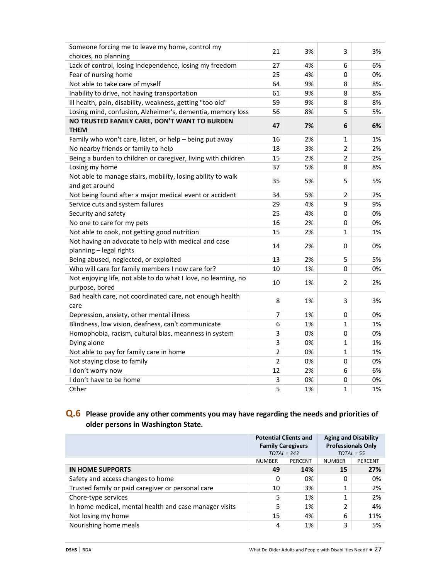| Someone forcing me to leave my home, control my                | 21             | 3% | 3              | 3% |
|----------------------------------------------------------------|----------------|----|----------------|----|
| choices, no planning                                           |                |    |                |    |
| Lack of control, losing independence, losing my freedom        | 27             | 4% | 6              | 6% |
| Fear of nursing home                                           | 25             | 4% | $\Omega$       | 0% |
| Not able to take care of myself                                | 64             | 9% | 8              | 8% |
| Inability to drive, not having transportation                  | 61             | 9% | 8              | 8% |
| Ill health, pain, disability, weakness, getting "too old"      | 59             | 9% | 8              | 8% |
| Losing mind, confusion, Alzheimer's, dementia, memory loss     | 56             | 8% | 5              | 5% |
| NO TRUSTED FAMILY CARE, DON'T WANT TO BURDEN                   | 47             | 7% | 6              | 6% |
| <b>THEM</b>                                                    |                |    |                |    |
| Family who won't care, listen, or help - being put away        | 16             | 2% | 1              | 1% |
| No nearby friends or family to help                            | 18             | 3% | $\overline{2}$ | 2% |
| Being a burden to children or caregiver, living with children  | 15             | 2% | $\overline{2}$ | 2% |
| Losing my home                                                 | 37             | 5% | 8              | 8% |
| Not able to manage stairs, mobility, losing ability to walk    | 35             | 5% | 5              | 5% |
| and get around                                                 |                |    |                |    |
| Not being found after a major medical event or accident        | 34             | 5% | $\overline{2}$ | 2% |
| Service cuts and system failures                               | 29             | 4% | 9              | 9% |
| Security and safety                                            | 25             | 4% | 0              | 0% |
| No one to care for my pets                                     | 16             | 2% | 0              | 0% |
| Not able to cook, not getting good nutrition                   | 15             | 2% | 1              | 1% |
| Not having an advocate to help with medical and case           |                |    |                |    |
| planning - legal rights                                        | 14             | 2% | 0              | 0% |
| Being abused, neglected, or exploited                          | 13             | 2% | 5              | 5% |
| Who will care for family members I now care for?               | 10             | 1% | 0              | 0% |
| Not enjoying life, not able to do what I love, no learning, no | 10             | 1% | 2              | 2% |
| purpose, bored                                                 |                |    |                |    |
| Bad health care, not coordinated care, not enough health       | 8              | 1% | 3              | 3% |
| care                                                           |                |    |                |    |
| Depression, anxiety, other mental illness                      | 7              | 1% | 0              | 0% |
| Blindness, low vision, deafness, can't communicate             | 6              | 1% | 1              | 1% |
| Homophobia, racism, cultural bias, meanness in system          | 3              | 0% | $\mathbf 0$    | 0% |
| Dying alone                                                    | 3              | 0% | $\mathbf 1$    | 1% |
| Not able to pay for family care in home                        | $\overline{2}$ | 0% | 1              | 1% |
| Not staying close to family                                    | $\overline{2}$ | 0% | $\mathbf 0$    | 0% |
| I don't worry now                                              | 12             | 2% | 6              | 6% |
| I don't have to be home                                        | 3              | 0% | $\pmb{0}$      | 0% |
| Other                                                          | 5              | 1% | 1              | 1% |
|                                                                |                |    |                |    |

### **Q.6 Please provide any other comments you may have regarding the needs and priorities of older persons in Washington State.**

|                                                        | <b>Potential Clients and</b><br><b>Family Caregivers</b><br>$TOTAL = 343$ |         | <b>Aging and Disability</b><br><b>Professionals Only</b><br>$TOTAL = 55$ |         |
|--------------------------------------------------------|---------------------------------------------------------------------------|---------|--------------------------------------------------------------------------|---------|
|                                                        | <b>NUMBER</b>                                                             | PERCENT | <b>NUMBER</b>                                                            | PERCENT |
| IN HOME SUPPORTS                                       | 49                                                                        | 14%     | 15                                                                       | 27%     |
| Safety and access changes to home                      | 0                                                                         | 0%      | 0                                                                        | 0%      |
| Trusted family or paid caregiver or personal care      | 10                                                                        | 3%      | 1                                                                        | 2%      |
| Chore-type services                                    | 5                                                                         | 1%      | 1                                                                        | 2%      |
| In home medical, mental health and case manager visits | 5                                                                         | 1%      | 2                                                                        | 4%      |
| Not losing my home                                     | 15                                                                        | 4%      | 6                                                                        | 11%     |
| Nourishing home meals                                  | 4                                                                         | 1%      | 3                                                                        | 5%      |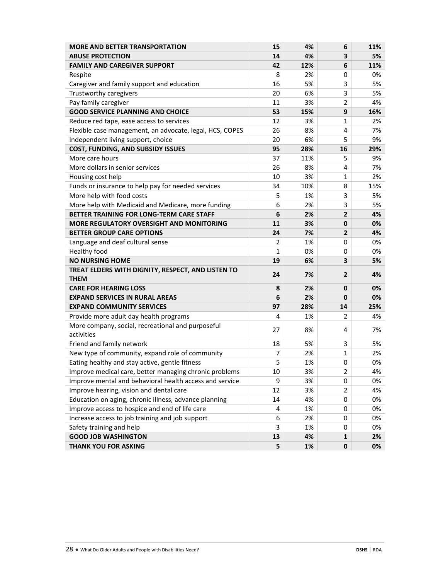| <b>MORE AND BETTER TRANSPORTATION</b>                    | 15           | 4%  | 6              | 11% |
|----------------------------------------------------------|--------------|-----|----------------|-----|
| <b>ABUSE PROTECTION</b>                                  | 14           | 4%  | 3              | 5%  |
| <b>FAMILY AND CAREGIVER SUPPORT</b>                      | 42           | 12% | 6              | 11% |
| Respite                                                  | 8            | 2%  | 0              | 0%  |
| Caregiver and family support and education               | 16           | 5%  | 3              | 5%  |
| Trustworthy caregivers                                   | 20           | 6%  | 3              | 5%  |
| Pay family caregiver                                     | 11           | 3%  | 2              | 4%  |
| <b>GOOD SERVICE PLANNING AND CHOICE</b>                  | 53           | 15% | 9              | 16% |
| Reduce red tape, ease access to services                 | 12           | 3%  | $\mathbf{1}$   | 2%  |
| Flexible case management, an advocate, legal, HCS, COPES | 26           | 8%  | 4              | 7%  |
| Independent living support, choice                       | 20           | 6%  | 5              | 9%  |
| COST, FUNDING, AND SUBSIDY ISSUES                        | 95           | 28% | 16             | 29% |
| More care hours                                          | 37           | 11% | 5              | 9%  |
| More dollars in senior services                          | 26           | 8%  | 4              | 7%  |
| Housing cost help                                        | 10           | 3%  | 1              | 2%  |
| Funds or insurance to help pay for needed services       | 34           | 10% | 8              | 15% |
| More help with food costs                                | 5            | 1%  | 3              | 5%  |
| More help with Medicaid and Medicare, more funding       | 6            | 2%  | 3              | 5%  |
| BETTER TRAINING FOR LONG-TERM CARE STAFF                 | 6            | 2%  | $\overline{2}$ | 4%  |
| MORE REGULATORY OVERSIGHT AND MONITORING                 | 11           | 3%  | $\mathbf 0$    | 0%  |
| <b>BETTER GROUP CARE OPTIONS</b>                         | 24           | 7%  | $\overline{2}$ | 4%  |
| Language and deaf cultural sense                         | 2            | 1%  | $\mathbf 0$    | 0%  |
| Healthy food                                             | $\mathbf{1}$ | 0%  | 0              | 0%  |
| <b>NO NURSING HOME</b>                                   | 19           | 6%  | 3              | 5%  |
| TREAT ELDERS WITH DIGNITY, RESPECT, AND LISTEN TO        | 24           | 7%  | $\overline{2}$ | 4%  |
| <b>THEM</b>                                              |              |     |                |     |
| <b>CARE FOR HEARING LOSS</b>                             | 8            | 2%  | $\mathbf{0}$   | 0%  |
| <b>EXPAND SERVICES IN RURAL AREAS</b>                    | 6            | 2%  | 0              | 0%  |
| <b>EXPAND COMMUNITY SERVICES</b>                         | 97           | 28% | 14             | 25% |
| Provide more adult day health programs                   | 4            | 1%  | 2              | 4%  |
| More company, social, recreational and purposeful        | 27           | 8%  | 4              | 7%  |
| activities                                               |              |     |                |     |
| Friend and family network                                | 18           | 5%  | 3              | 5%  |
| New type of community, expand role of community          | 7            | 2%  | 1              | 2%  |
| Eating healthy and stay active, gentle fitness           | 5            | 1%  | 0              | 0%  |
| Improve medical care, better managing chronic problems   | 10           | 3%  | $\overline{2}$ | 4%  |
| Improve mental and behavioral health access and service  | 9            | 3%  | 0              | 0%  |
| Improve hearing, vision and dental care                  | 12           | 3%  | $\overline{2}$ | 4%  |
| Education on aging, chronic illness, advance planning    | 14           | 4%  | 0              | 0%  |
| Improve access to hospice and end of life care           | 4            | 1%  | 0              | 0%  |
| Increase access to job training and job support          | 6            | 2%  | 0              | 0%  |
| Safety training and help                                 | 3            | 1%  | 0              | 0%  |
| <b>GOOD JOB WASHINGTON</b>                               | 13           | 4%  | 1              | 2%  |
| THANK YOU FOR ASKING                                     | 5            | 1%  | 0              | 0%  |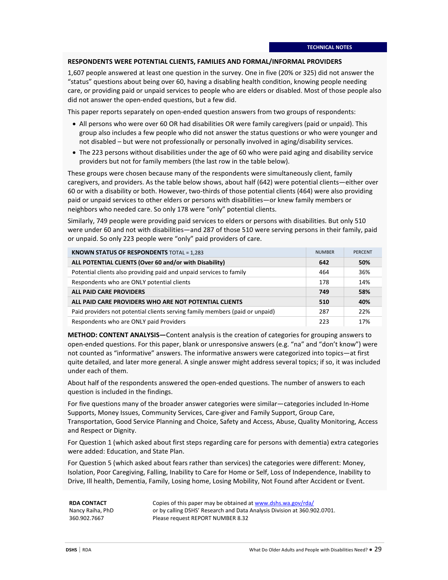#### **RESPONDENTS WERE POTENTIAL CLIENTS, FAMILIES AND FORMAL/INFORMAL PROVIDERS**

1,607 people answered at least one question in the survey. One in five (20% or 325) did not answer the "status" questions about being over 60, having a disabling health condition, knowing people needing care, or providing paid or unpaid services to people who are elders or disabled. Most of those people also did not answer the open-ended questions, but a few did.

This paper reports separately on open-ended question answers from two groups of respondents:

- All persons who were over 60 OR had disabilities OR were family caregivers (paid or unpaid). This group also includes a few people who did not answer the status questions or who were younger and not disabled – but were not professionally or personally involved in aging/disability services.
- The 223 persons without disabilities under the age of 60 who were paid aging and disability service providers but not for family members (the last row in the table below).

These groups were chosen because many of the respondents were simultaneously client, family caregivers, and providers. As the table below shows, about half (642) were potential clients—either over 60 or with a disability or both. However, two-thirds of those potential clients (464) were also providing paid or unpaid services to other elders or persons with disabilities—or knew family members or neighbors who needed care. So only 178 were "only" potential clients.

Similarly, 749 people were providing paid services to elders or persons with disabilities. But only 510 were under 60 and not with disabilities—and 287 of those 510 were serving persons in their family, paid or unpaid. So only 223 people were "only" paid providers of care.

| <b>KNOWN STATUS OF RESPONDENTS TOTAL = 1,283</b>                             | <b>NUMBER</b> | <b>PERCENT</b> |
|------------------------------------------------------------------------------|---------------|----------------|
| ALL POTENTIAL CLIENTS (Over 60 and/or with Disability)                       | 642           | 50%            |
| Potential clients also providing paid and unpaid services to family          | 464           | 36%            |
| Respondents who are ONLY potential clients                                   | 178           | 14%            |
| <b>ALL PAID CARE PROVIDERS</b>                                               | 749           | 58%            |
| ALL PAID CARE PROVIDERS WHO ARE NOT POTENTIAL CLIENTS                        | 510           | 40%            |
| Paid providers not potential clients serving family members (paid or unpaid) | 287           | 22%            |
| Respondents who are ONLY paid Providers                                      | 223           | 17%            |

**METHOD: CONTENT ANALYSIS—**Content analysis is the creation of categories for grouping answers to open-ended questions. For this paper, blank or unresponsive answers (e.g. "na" and "don't know") were not counted as "informative" answers. The informative answers were categorized into topics—at first quite detailed, and later more general. A single answer might address several topics; if so, it was included under each of them.

About half of the respondents answered the open-ended questions. The number of answers to each question is included in the findings.

For five questions many of the broader answer categories were similar—categories included In-Home Supports, Money Issues, Community Services, Care-giver and Family Support, Group Care, Transportation, Good Service Planning and Choice, Safety and Access, Abuse, Quality Monitoring, Access and Respect or Dignity.

For Question 1 (which asked about first steps regarding care for persons with dementia) extra categories were added: Education, and State Plan.

For Question 5 (which asked about fears rather than services) the categories were different: Money, Isolation, Poor Caregiving, Falling, Inability to Care for Home or Self, Loss of Independence, Inability to Drive, Ill health, Dementia, Family, Losing home, Losing Mobility, Not Found after Accident or Event.

#### **RDA CONTACT**

Nancy Raiha, PhD 360.902.7667

Copies of this paper may be obtained a[t www.dshs.wa.gov/rda/](http://www.dshs.wa.gov/rda/) or by calling DSHS' Research and Data Analysis Division at 360.902.0701. Please request REPORT NUMBER 8.32